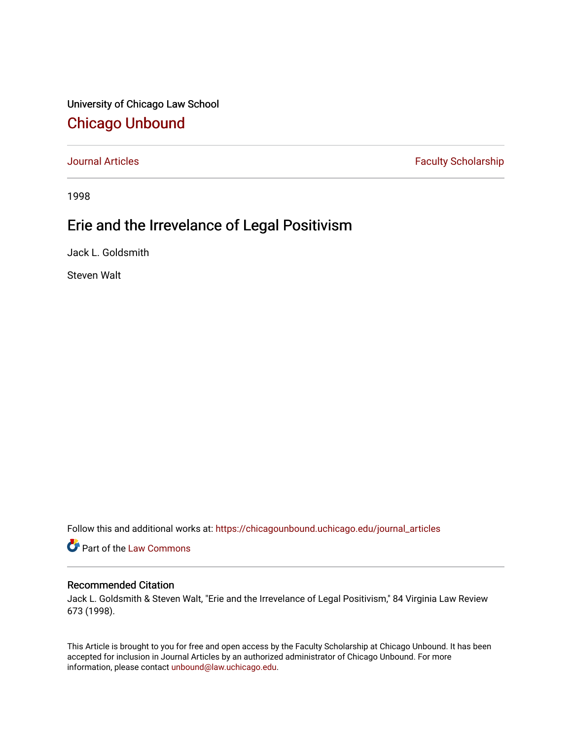University of Chicago Law School [Chicago Unbound](https://chicagounbound.uchicago.edu/)

[Journal Articles](https://chicagounbound.uchicago.edu/journal_articles) **Faculty Scholarship Faculty Scholarship** 

1998

# Erie and the Irrevelance of Legal Positivism

Jack L. Goldsmith

Steven Walt

Follow this and additional works at: [https://chicagounbound.uchicago.edu/journal\\_articles](https://chicagounbound.uchicago.edu/journal_articles?utm_source=chicagounbound.uchicago.edu%2Fjournal_articles%2F9095&utm_medium=PDF&utm_campaign=PDFCoverPages) 

Part of the [Law Commons](http://network.bepress.com/hgg/discipline/578?utm_source=chicagounbound.uchicago.edu%2Fjournal_articles%2F9095&utm_medium=PDF&utm_campaign=PDFCoverPages)

## Recommended Citation

Jack L. Goldsmith & Steven Walt, "Erie and the Irrevelance of Legal Positivism," 84 Virginia Law Review 673 (1998).

This Article is brought to you for free and open access by the Faculty Scholarship at Chicago Unbound. It has been accepted for inclusion in Journal Articles by an authorized administrator of Chicago Unbound. For more information, please contact [unbound@law.uchicago.edu](mailto:unbound@law.uchicago.edu).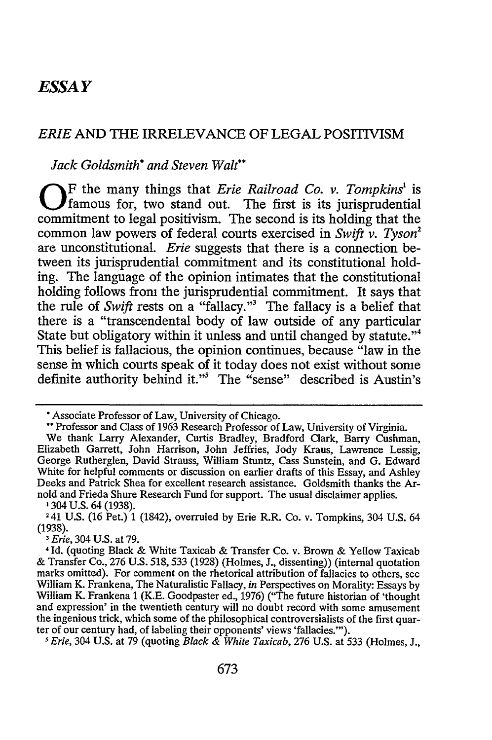## *ESSAY*

## *ERIE* AND THE IRRELEVANCE OF LEGAL POSITIVISM

*Jack Goldsmith<sup>\*</sup> and Steven Walt*\*\*<br> **O** F the many things that *Erie Railroad Co. v. Tompkins*<sup>1</sup> is **S** famous for, two stand out. The first is its jurisprudential commitment to legal positivism. The second is its holding that the common law powers of federal courts exercised in *Swift v. Tyson2* are unconstitutional. *Erie* suggests that there is a connection between its jurisprudential commitment and its constitutional holding. The language of the opinion intimates that the constitutional holding follows from the jurisprudential commitment. It says that the rule of *Swift* rests on a "fallacy."3 The fallacy is a belief that there is a "transcendental body of law outside of any particular State but obligatory within it unless and until changed by statute."<sup>4</sup> This belief is fallacious, the opinion continues, because "law in the sense in which courts speak of it today does not exist without some definite authority behind it."<sup>5</sup> The "sense" described is Austin's

*IErie,* 304 U.S. at 79 (quoting *Black & White Taxicab,* 276 U.S. at 533 (Holmes, J.,

<sup>&</sup>quot;Associate Professor of Law, University of Chicago.

**<sup>-</sup>** Professor and Class of 1963 Research Professor of Law, University of Virginia. We thank Larry Alexander, Curtis Bradley, Bradford Clark, Barry Cushman, Elizabeth Garrett, John Harrison, John Jeffries, Jody Kraus, Lawrence Lessig, George Rutherglen, David Strauss, William Stuntz, Cass Sunstein, and G. Edward White for helpful comments or discussion on earlier drafts of this Essay, and Ashley Deeks and Patrick Shea for excellent research assistance. Goldsmith thanks the Arnold and Frieda Shure Research Fund for support. The usual disclaimer applies.<br>1304 U.S. 64 (1938).

<sup>2</sup>41 U.S. (16 Pet.) 1 (1842), overruled by Erie R.R. Co. v. Tompkins, 304 U.S. 64 (1938).

**<sup>3</sup>***Erie,* 304 U.S. at 79. 4 Id. (quoting Black & White Taxicab & Transfer Co. v. Brown & Yellow Taxicab & Transfer Co., 276 U.S. 518, 533 (1928) (Holmes, J., dissenting)) (internal quotation marks omitted). For comment on the rhetorical attribution of fallacies to others, see William K. Frankena, The Naturalistic Fallacy, *in* Perspectives on Morality: Essays by William K. Frankena **I** (K.E. Goodpaster ed., 1976) ("The future historian of 'thought and expression' in the twentieth century will no doubt record with some amusement the ingenious trick, which some of the philosophical controversialists of the first quarter of our century had, of labeling their opponents' views 'fallacies."').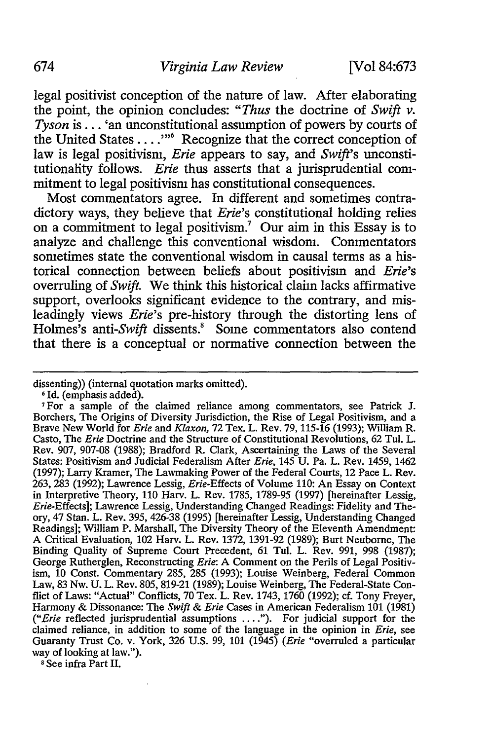legal positivist conception of the nature of law. After elaborating the point, the opinion concludes: *"Thus* the doctrine of *Swift v. Tyson* is... 'an unconstitutional assumption of powers by courts of the United States . . . . "<sup>6</sup> Recognize that the correct conception of law is legal positivism, *Erie* appears to say, and *Swift's* unconstitutionality follows. *Erie* thus asserts that a jurisprudential commitment to legal positivism has constitutional consequences.

Most commentators agree. In different and sometimes contradictory ways, they believe that *Erie's* constitutional holding relies on a commitment to legal positivism.7 Our aim in this Essay is to analyze and challenge this conventional wisdom. Commentators sometimes state the conventional wisdom in causal terms as a historical connection between beliefs about positivism and *Erie's* overruling of *Swift.* We think this historical claim lacks affirmative support, overlooks significant evidence to the contrary, and misleadingly views *Erie's* pre-history through the distorting lens of Holmes's anti-Swift dissents.<sup>8</sup> Some commentators also contend that there is a conceptual or normative connection between the

**8** See infra Part II.

dissenting)) (internal quotation marks omitted). **<sup>6</sup>**Id. (emphasis added).

<sup>&</sup>lt;sup>7</sup> For a sample of the claimed reliance among commentators, see Patrick J. Borchers, The Origins of Diversity Jurisdiction, the Rise of Legal Positivism, and a Brave New World for *Erie* and *Klaxon,* 72 Tex. L. Rev. 79, 115-16 (1993); William R. Casto, The *Erie* Doctrine and the Structure of Constitutional Revolutions, 62 Tul. L. Rev. 907, 907-08 (1988); Bradford R. Clark, Ascertaining the Laws of the Several States: Positivism and Judicial Federalism After *Erie, 145* U. Pa. L. Rev. 1459, 1462 (1997); Larry Kramer, The Lawmaking Power of the Federal Courts, 12 Pace L. Rev. 263, 283 (1992); Lawrence Lessig, Erie-Effects of Volume 110: An Essay on Context in Interpretive Theory, 110 Harv. L. Rev. 1785, 1789-95 (1997) [hereinafter Lessig, Erie-Effects]; Lawrence Lessig, Understanding Changed Readings: Fidelity and Theory, 47 Stan. L. Rev. 395, 426-38 (1995) [hereinafter Lessig, Understanding Changed Readings]; William P. Marshall, The Diversity Theory of the Eleventh Amendment: A Critical Evaluation, 102 Harv. L. Rev. 1372, 1391-92 (1989); Burt Neuborne, The Binding Quality of Supreme Court Precedent, 61 Tul. L. Rev. 991, 998 (1987); George Rutherglen, Reconstructing *Erie:* A Comment on the Perils of Legal Positivism, 10 Const. Commentary 285, 285 (1993); Louise Weinberg, Federal Common Law, 83 Nw. U. L. Rev. 805, 819-21 (1989); Louise Weinberg, The Federal-State Conflict of Laws: "Actual" Conflicts, 70 Tex. L. Rev. 1743, 1760 (1992); cf. Tony Freyer, Harmony & Dissonance: The *Swift & Erie* Cases in American Federalism 101 (1981) *("Erie* reflected jurisprudential assumptions .... "). For judicial support for the claimed reliance, in addition to some of the language in the opinion in *Erie,* see Guaranty Trust Co. v. York, 326 U.S. 99, 101 (1945) *(Erie* "overruled a particular way of looking at law.").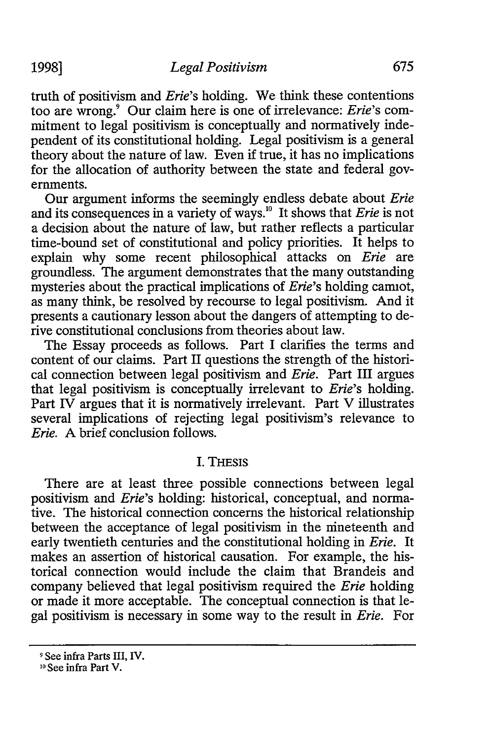truth of positivism and *Erie's* holding. We think these contentions too are wrong.9 Our claim here is one of irrelevance: *Erie's* commitment to legal positivism is conceptually and normatively independent of its constitutional holding. Legal positivism is a general theory about the nature of law. Even if true, it has no implications for the allocation of authority between the state and federal governments.

Our argument informs the seemingly endless debate about *Erie* and its consequences in a variety of ways." It shows that *Erie* is not a decision about the nature of law, but rather reflects a particular time-bound set of constitutional and policy priorities. It helps to explain why some recent philosophical attacks on *Erie* are groundless. The argument demonstrates that the many outstanding mysteries about the practical implications of *Erie's* holding cannot, as many think, be resolved by recourse to legal positivism. And it presents a cautionary lesson about the dangers of attempting to derive constitutional conclusions from theories about law.

The Essay proceeds as follows. Part I clarifies the terms and content of our claims. Part II questions the strength of the historical connection between legal positivism and *Erie.* Part III argues that legal positivism is conceptually irrelevant to *Erie's* holding. Part IV argues that it is normatively irrelevant. Part V illustrates several implications of rejecting legal positivism's relevance to *Erie.* A brief conclusion follows.

## I. THESIS

There are at least three possible connections between legal positivism and *Erie's* holding: historical, conceptual, and normative. The historical connection concerns the historical relationship between the acceptance of legal positivism in the nineteenth and early twentieth centuries and the constitutional holding in *Erie.* It makes an assertion of historical causation. For example, the historical connection would include the claim that Brandeis and company believed that legal positivism required the *Erie* holding or made it more acceptable. The conceptual connection is that legal positivism is necessary in some way to the result in *Erie.* For

See infra Parts III, IV.

*<sup>10</sup>* See infra Part V.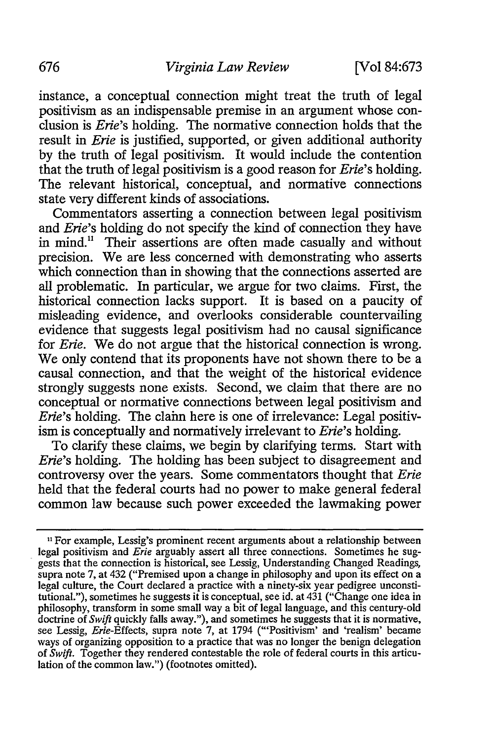instance, a conceptual connection might treat the truth of legal positivism as an indispensable premise in an argument whose conclusion is *Erie's* holding. The normative connection holds that the result in *Erie* is justified, supported, or given additional authority by the truth of legal positivism. It would include the contention that the truth of legal positivism is a good reason for *Erie's* holding. The relevant historical, conceptual, and normative connections state very different kinds of associations.

Commentators asserting a connection between legal positivism and *Erie's* holding do not specify the kind of connection they have in mind." Their assertions are often made casually and without precision. We are less concerned with demonstrating who asserts which connection than in showing that the connections asserted are all problematic. In particular, we argue for two claims. First, the historical connection lacks support. It is based on a paucity of misleading evidence, and overlooks considerable countervailing evidence that suggests legal positivism had no causal significance for *Erie.* We do not argue that the historical connection is wrong. We only contend that its proponents have not shown there to be a causal connection, and that the weight of the historical evidence strongly suggests none exists. Second, we claim that there are no conceptual or normative connections between legal positivism and *Erie's* holding. The claim here is one of irrelevance: Legal positivism is conceptually and normatively irrelevant to *Erie's* holding.

To clarify these claims, we begin by clarifying terms. Start with *Erie's* holding. The holding has been subject to disagreement and controversy over the years. Some commentators thought that *Erie* held that the federal courts had no power to make general federal common law because such power exceeded the lawmaking power

**<sup>11</sup>** For example, Lessig's prominent recent arguments about a relationship between legal positivism and *Erie* arguably assert all three connections. Sometimes he suggests that the connection is historical, see Lessig, Understanding Changed Readings, supra note 7, at 432 ("Premised upon a change in philosophy and upon its effect on a legal culture, the Court declared a practice with a ninety-six year pedigree unconstitutional."), sometimes he suggests it is conceptual, see id. at 431 ("Change one idea in philosophy, transform in some small way a bit of legal language, and this century-old doctrine of *Swift* quickly falls away."), and sometimes he suggests that it is normative, see Lessig, *Erie-Effects,* supra note 7, at 1794 ("'Positivism' and 'realism' became ways of organizing opposition to a practice that was no longer the benign delegation of *Swift.* Together they rendered contestable the role of federal courts in this articulation of the common law.") (footnotes omitted).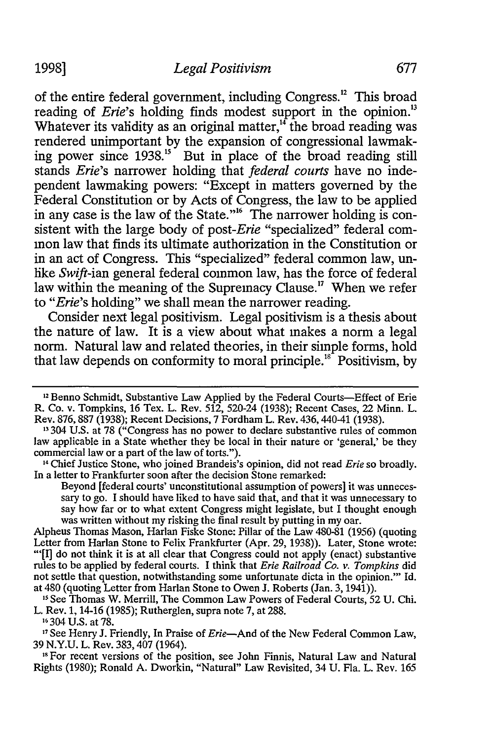of the entire federal government, including Congress.12 This broad reading of *Erie's* holding finds modest support in the opinion.<sup>13</sup> Whatever its validity as an original matter, $\frac{1}{4}$  the broad reading was rendered unimportant by the expansion of congressional lawmaking power since 1938.<sup>15</sup> But in place of the broad reading still stands *Erie's* narrower holding that *federal courts* have no independent lawmaking powers: "Except in matters governed by the Federal Constitution or by Acts of Congress, the law to be applied in any case is the law of the State."<sup>16</sup> The narrower holding is consistent with the large body of *post-Erie* "specialized" federal common law that finds its ultimate authorization in the Constitution or in an act of Congress. This "specialized" federal common law, unlike *Swift-ian* general federal common law, has the force of federal law within the meaning of the Supremacy Clause.<sup> $17$ </sup> When we refer to *"Erie's* holding" we shall mean the narrower reading.

Consider next legal positivism. Legal positivism is a thesis about the nature of law. It is a view about what makes a norm a legal norm. Natural law and related theories, in their simple forms, hold that law depends on conformity to moral principle.<sup> $18$ </sup> Positivism, by

<sup>14</sup> Chief Justice Stone, who joined Brandeis's opinion, did not read *Erie* so broadly. In a letter to Frankfurter soon after the decision Stone remarked:

Beyond [federal courts' unconstitutional assumption of powers] it was unnecessary to go. I should have liked to have said that, and that it was unnecessary to say how far or to what extent Congress might legislate, but I thought enough was written without my risking the final result by putting in my oar.

Alpheus Thomas Mason, Harlan Fiske Stone: Pillar of the Law 480-81 (1956) (quoting Letter from Harlan Stone to Felix Frankfurter (Apr. 29, 1938)). Later, Stone wrote: " $[1]$  do not think it is at all clear that Congress could not apply (enact) substantive rules to be applied by federal courts. I think that *Erie Railroad Co. v. Tompkins* did not settle that question, notwithstanding some unfortunate dicta in the opinion."' Id. at 480 (quoting Letter from Harlan Stone to Owen J. Roberts (Jan. 3, 1941)).

<sup>15</sup> See Thomas W. Merrill, The Common Law Powers of Federal Courts, 52 U. Chi. L. Rev. **1,** 14-16 (1985); Rutherglen, supra note 7, at 288.

**16304** U.S. at 78.

**<sup>17</sup>**See Henry J. Friendly, In Praise of *Erie-And* of the New Federal Common Law, 39 N.Y.U. L. Rev. 383,407 (1964).

**18** For recent versions of the position, see John Finnis, Natural Law and Natural Rights (1980); Ronald A. Dworkin, "Natural" Law Revisited, 34 U. Fla. L. Rev. 165

<sup>&</sup>lt;sup>12</sup> Benno Schmidt, Substantive Law Applied by the Federal Courts-Effect of Erie R. Co. v. Tompkins, 16 Tex. L. Rev. 512, 520-24 (1938); Recent Cases, 22 Minn. L. Rev. 876, 887 (1938); Recent Decisions, 7 Fordham L. Rev. 436,440-41 (1938).

**<sup>13304</sup>** U.S. at 78 ("Congress has no power to declare substantive rules of common law applicable in a State whether they be local in their nature or 'general,' be they commercial law or a part of the law of torts.").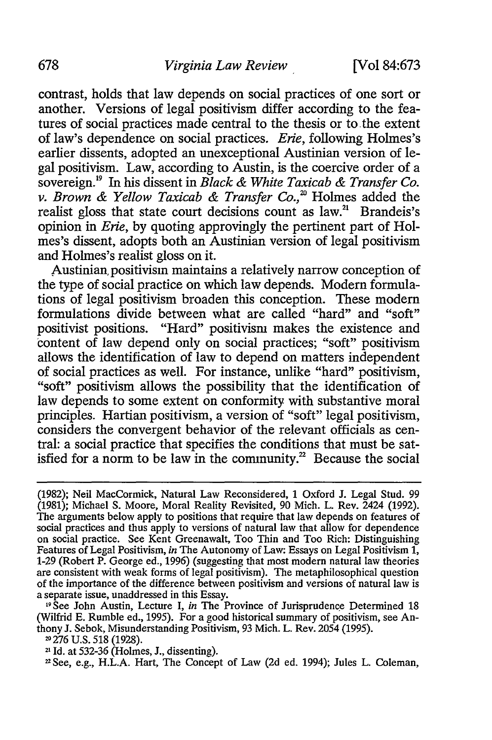contrast, holds that law depends on social practices of one sort or another. Versions of legal positivism differ according to the features of social practices made central to the thesis or to the extent of law's dependence on social practices. *Erie,* following Holmes's earlier dissents, adopted an unexceptional Austinian version of legal positivism. Law, according to Austin, is the coercive order of a sovereign. 9 In his dissent in *Black & White Taxicab & Transfer Co. v. Brown & Yellow Taxicab & Transfer Co.*,<sup>20</sup> Holmes added the realist gloss that state court decisions count as law.<sup>21</sup> Brandeis's opinion in *Erie,* by quoting approvingly the pertinent part of Holmes's dissent, adopts both an Austinian version of legal positivism and Holmes's realist gloss on it.

Austinian, positivism maintains a relatively narrow conception of the type of social practice on which law depends. Modem formulations of legal positivism broaden this conception. These modem formulations divide between what are called "hard" and "soft" positivist positions. "Hard" positivism makes the existence and content of law depend only on social practices; "soft" positivism allows the identification of law to depend on matters independent of social practices as well. For instance, unlike "hard" positivism, "soft" positivism allows the possibility that the identification of law depends to some extent on conformity with substantive moral principles. Hartian positivism, a version of "soft" legal positivism, considers the convergent behavior of the relevant officials as central: a social practice that specifies the conditions that must be satisfied for a norm to be law in the community.<sup>22</sup> Because the social

**19** See John Austin, Lecture I, *in* The Province of Jurisprudence Determined 18 (Wilfrid E. Rumble ed., 1995). For a good historical summary of positivism, see Anthony J. Sebok, Misunderstanding Positivism, 93 Mich. L. Rev. 2054 (1995).

<sup>(1982);</sup> Neil MacCormick, Natural Law Reconsidered, 1 Oxford J. Legal Stud. 99 (1981); Michael S. Moore, Moral Reality Revisited, 90 Mich. L. Rev. 2424 (1992). The arguments below apply to positions that require that law depends on features of social practices and thus apply to versions of natural law that allow for dependence on social practice. See Kent Greenawalt, Too Thin and Too Rich: Distinguishing Features of Legal Positivism, *in* The Autonomy of Law: Essays on Legal Positivism 1, 1-29 (Robert P. George ed., 1996) (suggesting that most modern natural law theories are consistent with weak forms of legal positivism). The metaphilosophical question of the importance of the difference between positivism and versions of natural law is a separate issue, unaddressed in this Essay.

<sup>2&#</sup>x27;276 U.S. **518** (1928).

**<sup>21</sup>**Id. at 532-36 (Holmes, J., dissenting).

<sup>2</sup> See, e.g., H.L.A. Hart, The Concept of Law (2d ed. 1994); Jules L. Coleman,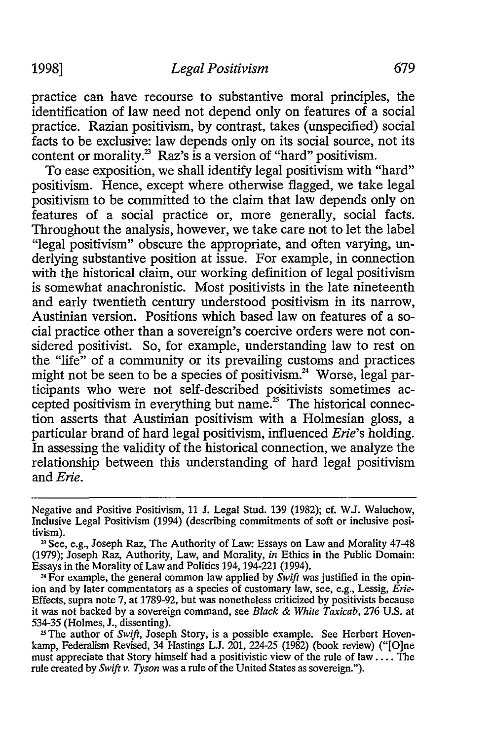practice can have recourse to substantive moral principles, the identification of law need not depend only on features of a social practice. Razian positivism, by contrast, takes (unspecified) social facts to be exclusive: law depends only on its social source, not its content or morality.<sup>23</sup> Raz's is a version of "hard" positivism.

To ease exposition, we shall identify legal positivism with "hard" positivism. Hence, except where otherwise flagged, we take legal positivism to be committed to the claim that law depends only on features of a social practice or, more generally, social facts. Throughout the analysis, however, we take care not to let the label "legal positivism" obscure the appropriate, and often varying, underlying substantive position at issue. For example, in connection with the historical claim, our working definition of legal positivism is somewhat anachronistic. Most positivists in the late nineteenth and early twentieth century understood positivism in its narrow, Austinian version. Positions which based law on features of a social practice other than a sovereign's coercive orders were not considered positivist. So, for example, understanding law to rest on the "life" of a community or its prevailing customs and practices might not be seen to be a species of positivism.<sup>24</sup> Worse, legal participants who were not self-described positivists sometimes accepted positivism in everything but name.' The historical connection asserts that Austinian positivism with a Holmesian gloss, a particular brand of hard legal positivism, influenced *Erie's* holding. In assessing the validity of the historical connection, we analyze the relationship between this understanding of hard legal positivism and *Erie.*

Negative and Positive Positivism, 11 J. Legal Stud. **139** (1982); cf. **WJ.** Waluchow, Inclusive Legal Positivism (1994) (describing commitments of soft or inclusive positivism).

 $2^{\circ}$  See, e.g., Joseph Raz, The Authority of Law: Essays on Law and Morality 47-48 (1979); Joseph Raz, Authority, Law, and Morality, *in* Ethics in the Public Domain: Essays in the Morality of Law and Politics 194, 194-221 (1994).

<sup>24</sup> For example, the general common law applied by *Swift* was justified in the opinion and by later commentators as a species of customary law, see, e.g., Lessig, *Erie-*Effects, supra note 7, at 1789-92, but was nonetheless criticized by positivists because it was not backed by a sovereign command, see *Black & White Taxicab,* 276 U.S. at 534-35 (Holmes, J., dissenting).

<sup>&</sup>lt;sup>25</sup> The author of *Swift*, Joseph Story, is a possible example. See Herbert Hovenkamp, Federalism Revised, 34 Hastings **LJ.** 201, 224-25 (1982) (book review) ("[O]ne must appreciate that Story himself had a positivistic view of the rule of law .... The rule created by *Swift v. Tyson* was a rule of the United States as sovereign.").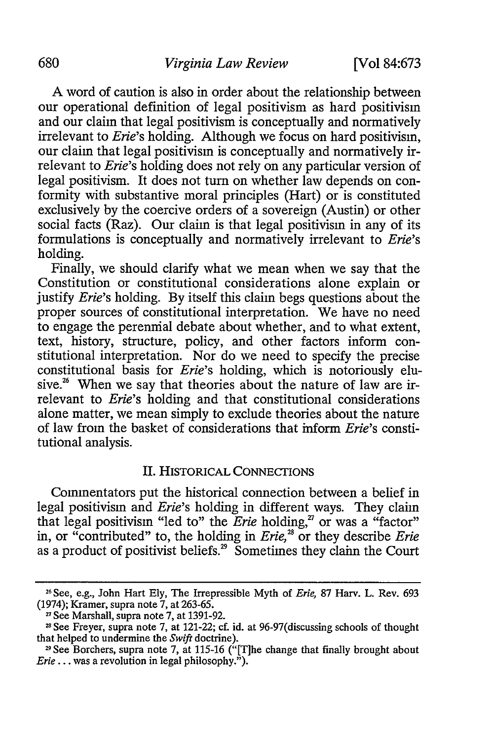A word of caution is also in order about the relationship between our operational definition of legal positivism as hard positivism and our claim that legal positivism is conceptually and normatively irrelevant to *Erie's* holding. Although we focus on hard positivism, our claim that legal positivism is conceptually and normatively irrelevant to *Erie's* holding does not rely on any particular version of legal positivism. It does not turn on whether law depends on conformity with substantive moral principles (Hart) or is constituted exclusively by the coercive orders of a sovereign (Austin) or other social facts (Raz). Our claim is that legal positivism in any of its formulations is conceptually and normatively irrelevant to *Erie's* holding.

Finally, we should clarify what we mean when we say that the Constitution or constitutional considerations alone explain or justify *Erie's* holding. By itself this claim begs questions about the proper sources of constitutional interpretation. We have no need to engage the perennial debate about whether, and to what extent, text, history, structure, policy, and other factors inform constitutional interpretation. Nor do we need to specify the precise constitutional basis for *Erie's* holding, which is notoriously elusive.<sup>26</sup> When we say that theories about the nature of law are irrelevant to *Erie's* holding and that constitutional considerations alone matter, we mean simply to exclude theories about the nature of law from the basket of considerations that inform *Erie's* constitutional analysis.

#### II. HISTORICAL CONNECTIONS

Commentators put the historical connection between a belief in legal positivism and *Erie's* holding in different ways. They claim that legal positivism "led to" the *Erie* holding,<sup>27</sup> or was a "factor" in, or "contributed" to, the holding in *Erie*,<sup>28</sup> or they describe *Erie* as a product of positivist beliefs.<sup>29</sup> Sometimes they claim the Court

**<sup>26</sup>**See, e.g., John Hart Ely, The Irrepressible Myth of *Erie,* 87 Harv. L. Rev. 693 (1974); Kramer, supra note 7, at 263-65.

<sup>21</sup> See Marshall, supra note 7, at 1391-92.

**Is** See Freyer, supra note 7, at 121-22; cf. id. at 96-97(discussing schools of thought that helped to undermine the *Swift* doctrine).

<sup>&</sup>lt;sup>29</sup> See Borchers, supra note 7, at 115-16 ("The change that finally brought about *Erie...* was a revolution in legal philosophy.")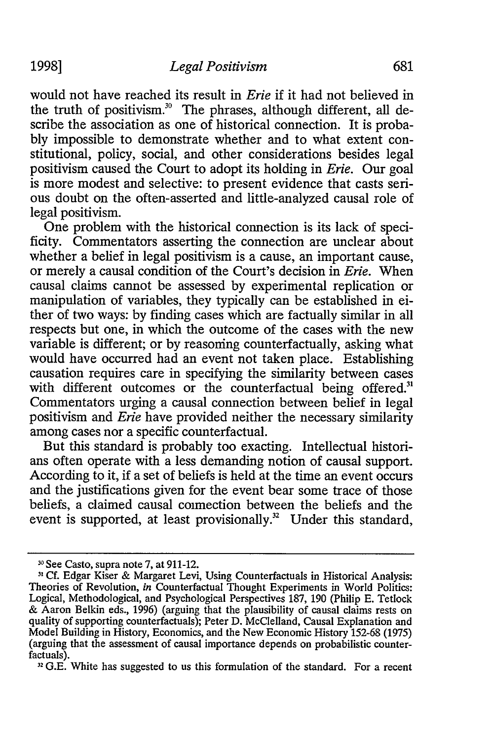would not have reached its result in *Erie* if it had not believed in the truth of positivism.<sup>30</sup> The phrases, although different, all describe the association as one of historical connection. It is probably impossible to demonstrate whether and to what extent constitutional, policy, social, and other considerations besides legal positivism caused the Court to adopt its holding in *Erie.* Our goal is more modest and selective: to present evidence that casts serious doubt on the often-asserted and little-analyzed causal role of legal positivism.

One problem with the historical connection is its lack of specificity. Commentators asserting the connection are unclear about whether a belief in legal positivism is a cause, an important cause, or merely a causal condition of the Court's decision in *Erie.* When causal claims cannot be assessed by experimental replication or manipulation of variables, they typically can be established in either of two ways: by finding cases which are factually similar in all respects but one, in which the outcome of the cases with the new variable is different; or by reasoning counterfactually, asking what would have occurred had an event not taken place. Establishing causation requires care in specifying the similarity between cases with different outcomes or the counterfactual being offered.<sup>31</sup> Commentators urging a causal connection between belief in legal positivism and *Erie* have provided neither the necessary similarity among cases nor a specific counterfactual.

But this standard is probably too exacting. Intellectual historians often operate with a less demanding notion of causal support. According to it, if a set of beliefs is held at the time an event occurs and the justifications given for the event bear some trace of those beliefs, a claimed causal connection between the beliefs and the event is supported, at least provisionally.<sup>32</sup> Under this standard,

**<sup>&#</sup>x27;0** See Casto, supra note 7, at 911-12.

**Cf.** Edgar Kiser & Margaret Levi, Using Counterfactuals in Historical Analysis: Theories of Revolution, *in* Counterfactual Thought Experiments in World Politics: Logical, Methodological, and Psychological Perspectives 187, **190** (Philip E. Tetlock & Aaron Belkin eds., 1996) (arguing that the plausibility of causal claims rests on quality of supporting counterfactuals); Peter D. McClelland, Causal Explanation and Model Building in History, Economics, and the New Economic History 152-68 (1975) (arguing that the assessment of causal importance depends on probabilistic counterfactuals).

**<sup>32</sup>**G.E. White has suggested to us this formulation of the standard. For a recent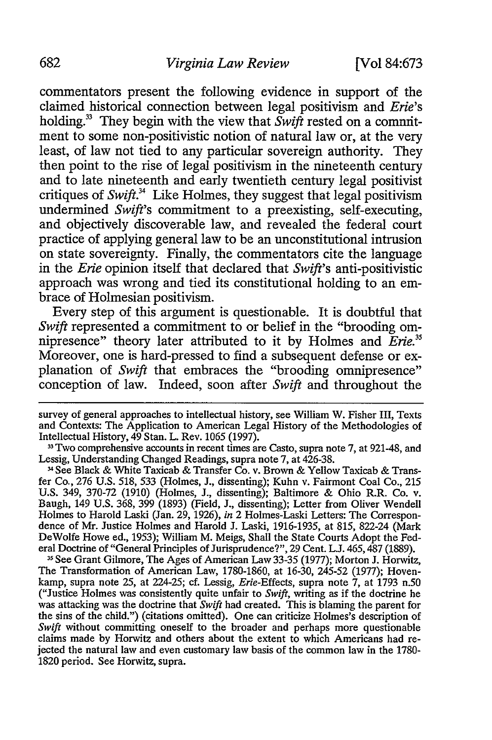commentators present the following evidence in support of the claimed historical connection between legal positivism and *Erie's* holding.<sup>33</sup> They begin with the view that *Swift* rested on a commitment to some non-positivistic notion of natural law or, at the very least, of law not tied to any particular sovereign authority. They then point to the rise of legal positivism in the nineteenth century and to late nineteenth and early twentieth century legal positivist critiques of *Swift*.<sup>34</sup> Like Holmes, they suggest that legal positivism undermined *Swift's* commitment to a preexisting, self-executing, and objectively discoverable law, and revealed the federal court practice of applying general law to be an unconstitutional intrusion on state sovereignty. Finally, the commentators cite the language in the *Erie* opinion itself that declared that *Swift's* anti-positivistic approach was wrong and tied its constitutional holding to an embrace of Holmesian positivism.

Every step of this argument is questionable. It is doubtful that *Swift* represented a commitment to or belief in the "brooding omnipresence" theory later attributed to it by Holmes and *Erie*.<sup>3</sup> Moreover, one is hard-pressed to find a subsequent defense or explanation of *Swift* that embraces the "brooding omnipresence" conception of law. Indeed, soon after *Swift* and throughout the

<sup>34</sup> See Black & White Taxicab & Transfer Co. v. Brown & Yellow Taxicab & Transfer Co., 276 U.S. 518, 533 (Holmes, J., dissenting); Kuhn v. Fairmont Coal Co., 215 U.S. 349, 370-72 (1910) (Holmes, J., dissenting); Baltimore & Ohio R.R. Co. v.<br>Baugh, 149 U.S. 368, 399 (1893) (Field, J., dissenting); Letter from Oliver Wendell Holmes to Harold Laski (Jan. 29, 1926), *in* 2 Holmes-Laski Letters: The Correspondence of Mr. Justice Holmes and Harold J. Laski, 1916-1935, at 815, 822-24 (Mark DeWolfe Howe ed., 1953); William M. Meigs, Shall the State Courts Adopt the Federal Doctrine of "General Principles of Jurisprudence?", 29 Cent. **LJ.** 465,487 (1889).

**<sup>35</sup>**See Grant Gilmore, The Ages of American Law 33-35 (1977); Morton J. Honvitz, The Transformation of American Law, 1780-1860, at 16-30, 245-52 (1977); Hovenkamp, supra note 25, at 224-25; cf. Lessig, *Erie-Effects*, supra note 7, at 1793 n.50 ("Justice Holmes was consistently quite unfair to *Swift,* writing as if the doctrine he was attacking was the doctrine that *Swift* had created. This is blaming the parent for the sins of the child.") (citations omitted). One can criticize Holmes's description of *Swift* without committing oneself to the broader and perhaps more questionable claims made by Horwitz and others about the extent to which Americans had rejected the natural law and even customary law basis of the common law in the 1780- 1820 period. See Horwitz, supra.

survey of general approaches to intellectual history, see William W. Fisher III, Texts and Contexts: The Application to American Legal History of the Methodologies of Intellectual History, 49 Stan. L. Rev. 1065 (1997).

**<sup>33</sup>**Two comprehensive accounts in recent times are Casto, supra note 7, at 921-48, and Lessig, Understanding Changed Readings, supra note 7, at 426-38.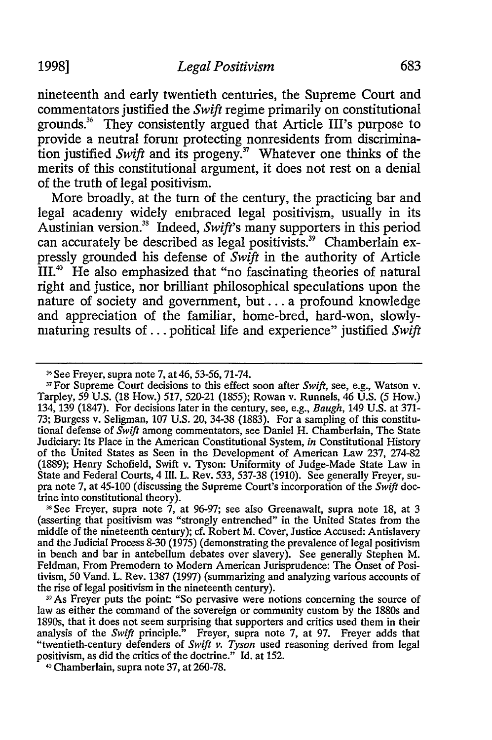nineteenth and early twentieth centuries, the Supreme Court and commentators justified the *Swift* regime primarily on constitutional grounds.<sup>36</sup> They consistently argued that Article III's purpose to provide a neutral forum protecting nonresidents from discrimination justified *Swift* and its progeny.' Whatever one thinks of the merits of this constitutional argument, it does not rest on a denial of the truth of legal positivism.

More broadly, at the turn of the century, the practicing bar and legal academy widely embraced legal positivism, usually in its Austinian version." Indeed, *Swift's* many supporters in this period can accurately be described as legal positivists.<sup>39</sup> Chamberlain expressly grounded his defense of *Swift* in the authority of Article  $III$ <sup>40</sup> He also emphasized that "no fascinating theories of natural right and justice, nor brilliant philosophical speculations upon the nature of society and government, but.., a profound knowledge and appreciation of the familiar, home-bred, hard-won, slowlymaturing results of... political life and experience" justified *Swift*

<sup>38</sup> See Freyer, supra note 7, at 96-97; see also Greenawalt, supra note 18, at 3 (asserting that positivism was "strongly entrenched" in the United States from the middle of the nineteenth century); cf. Robert M. Cover, Justice Accused: Antislavery and the Judicial Process 8-30 (1975) (demonstrating the prevalence of legal positivism in bench and bar in antebellum debates over slavery). See generally Stephen M. Feldman, From Premodern to Modern American Jurisprudence: The Onset of Positivism, 50 Vand. L. Rev. 1387 (1997) (summarizing and analyzing various accounts of the rise of legal positivism in the nineteenth century).

**11** *As* Freyer puts the point: "So pervasive were notions concerning the source of law as either the command of the sovereign or community custom by the 1880s and 1890s, that it does not seem surprising that supporters and critics used them in their analysis of the *Swift* principle." Freyer, supra note 7, at 97. Freyer adds that "twentieth-century defenders of *Swift v. Tyson* used reasoning derived from legal positivism, as did the critics of the doctrine." Id. at 152.

**,1** Chamberlain, supra note 37, at 260-78.

**<sup>11</sup>** See Freyer, supra note 7, at 46, 53-56, 71-74.

**<sup>-7</sup>** For Supreme Court decisions to this effect soon after *Swift,* see, e.g., Watson v. Tarpley, 59 U.S. (18 How.) 517, 520-21 (1855); Rowan v. Runnels, 46 U.S. (5 How.) 134, 139 (1847). For decisions later in the century, see, e.g., *Baugh,* 149 U.S. at 371- 73; Burgess v. Seligman, 107 U.S. 20, 34-38 (1883). For a sampling of this constitutional defense of *Swift* among commentators, see Daniel H. Chamberlain, The State Judiciary: Its Place in the American Constitutional System, *in* Constitutional History of the United States as Seen in the Development of American Law 237, 274-82 (1889); Henry Schofield, Swift v. Tyson: Uniformity of Judge-Made State Law in State and Federal Courts, 4 III. L. Rev. 533, 537-38 (1910). See generally Freyer, supra note 7, at 45-100 (discussing the Supreme Court's incorporation of the *Swift* doctrine into constitutional theory).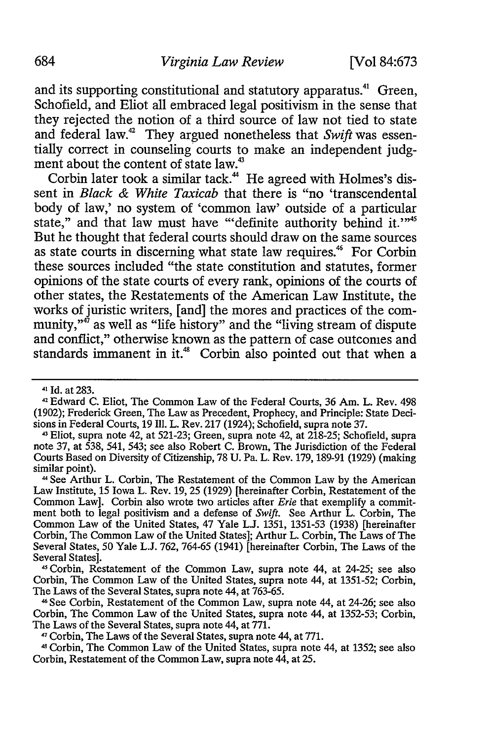and its supporting constitutional and statutory apparatus.<sup>41</sup> Green, Schofield, and Eliot all embraced legal positivism in the sense that they rejected the notion of a third source of law not tied to state and federal law.<sup>42</sup> They argued nonetheless that Swift was essentially correct in counseling courts to make an independent judgment about the content of state law.<sup>43</sup>

Corbin later took a similar tack.<sup>44</sup> He agreed with Holmes's dissent in *Black & White Taxicab* that there is "no 'transcendental body of law,' no system of 'common law' outside of a particular state," and that law must have "'definite authority behind it."<sup>45</sup> But he thought that federal courts should draw on the same sources as state courts in discerning what state law requires.<sup>46</sup> For Corbin these sources included "the state constitution and statutes, former opinions of the state courts of every rank, opinions of the courts of other states, the Restatements of the American Law Institute, the works of juristic writers, [and] the mores and practices of the community, $"\nightharpoonup"$  as well as "life history" and the "living stream of dispute and conflict," otherwise known as the pattern of case outcomes and standards immanent in it.<sup>48</sup> Corbin also pointed out that when a

<sup>41</sup>Id. at 283.

<sup>41</sup> Edward C. Eliot, The Common Law of the Federal Courts, 36 Am. L. Rev. 498 (1902); Frederick Green, The Law as Precedent, Prophecy, and Principle: State Decisions in Federal Courts, 19 Ill. L. Rev. 217 (1924); Schofield, supra note 37.

<sup>43</sup> Eliot, supra note 42, at 521-23; Green, supra note 42, at 218-25; Schofield, supra note 37, at 538, 541, 543; see also Robert C. Brown, The Jurisdiction of the Federal Courts Based on Diversity of Citizenship, 78 U. Pa. L. Rev. 179, 189-91 (1929) (making similar point).

<sup>44</sup> See Arthur L. Corbin, The Restatement of the Common Law by the American Law Institute, 15 Iowa L. Rev. 19, 25 (1929) [hereinafter Corbin, Restatement of the Common Law]. Corbin also wrote two articles after *Erie* that exemplify a commitment both to legal positivism and a defense of *Swift.* See Arthur L. Corbin, The Common Law of the United States, 47 Yale **LJ.** 1351, 1351-53 (1938) [hereinafter Corbin, The Common Law of the United States]; Arthur L. Corbin, The Laws of The Several States, 50 Yale L.J. 762, 764-65 (1941) [hereinafter Corbin, The Laws of the Several States].<br><sup>45</sup> Corbin, Restatement of the Common Law, supra note 44, at 24-25; see also

Corbin, The Common Law of the United States, supra note 44, at 1351-52; Corbin, The Laws of the Several States, supra note 44, at 763-65.

<sup>4</sup> See Corbin, Restatement of the Common Law, supra note 44, at 24-26; see also Corbin, The Common Law of the United States, supra note 44, at 1352-53; Corbin, The Laws of the Several States, supra note 44, at 771.

<sup>47</sup> Corbin, The Laws of the Several States, supra note 44, at 771.

<sup>41</sup> Corbin, The Common Law of the United States, supra note 44, at 1352; see also Corbin, Restatement of the Common Law, supra note 44, at 25.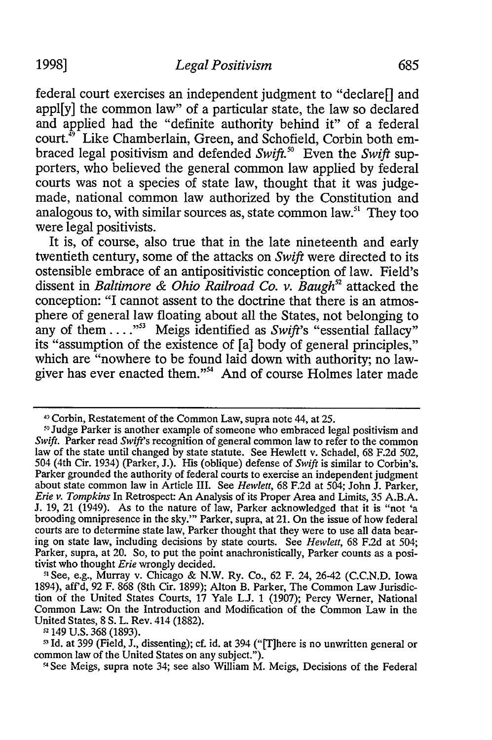federal court exercises an independent judgment to "declare[] and appl[y] the common law" of a particular state, the law so declared and applied had the "definite authority behind it" of a federal court.<sup>49</sup> Like Chamberlain, Green, and Schofield, Corbin both embraced legal positivism and defended *Swift."* Even the *Swift* supporters, who believed the general common law applied by federal courts was not a species of state law, thought that it was judgemade, national common law authorized by the Constitution and analogous to, with similar sources as, state common law.<sup>51</sup> They too were legal positivists.

It is, of course, also true that in the late nineteenth and early twentieth century, some of the attacks on *Swift* were directed to its ostensible embrace of an antipositivistic conception of law. Field's dissent in *Baltimore & Ohio Railroad Co. v. Baugh*<sup>52</sup> attacked the conception: "I cannot assent to the doctrine that there is an atmosphere of general law floating about all the States, not belonging to any of them ...."<sup>53</sup> Meigs identified as *Swift's* "essential fallacy" its "assumption of the existence of [a] body of general principles," which are "nowhere to be found laid down with authority; no lawgiver has ever enacted them."<sup>34</sup> And of course Holmes later made

<sup>52</sup> 149 U.S. 368 (1893).

*<sup>4)</sup>* Corbin, Restatement of the Common Law, supra note 44, at 25.

Judge Parker is another example of someone who embraced legal positivism and *Swift.* Parker read *Swift's* recognition of general common law to refer to the common law of the state until changed by state statute. See Hewlett v. Schadel, 68 F.2d 502, 504 (4th Cir. 1934) (Parker, J.). His (oblique) defense of *Swift* is similar to Corbin's. Parker grounded the authority of federal courts to exercise an independent judgment about state common law in Article III. See *Hewlett,* 68 F.2d at 504; John J. Parker, *Erie v. Tompkins* In Retrospect: An Analysis of its Proper Area and Limits, 35 A.B.A. J. 19, 21 (1949). As to the nature of law, Parker acknowledged that it is "not 'a brooding omnipresence in the sky."' Parker, supra, at 21. On the issue of how federal courts are to determine state law, Parker thought that they were to use all data bearing on state law, including decisions by state courts. See *Hewlett,* 68 F.2d at 504; Parker, supra, at 20. So, to put the point anachronistically, Parker counts as a positivist who thought *Erie* wrongly decided.

**<sup>11</sup>** See, e.g., Murray v. Chicago & N.W. Ry. Co., 62 F. 24, 26-42 (C.C.N.D. Iowa 1894), aff'd, 92 F. 868 (8th Cir. 1899); Alton B. Parker, The Common Law Jurisdiction of the United States Courts, 17 Yale **L.J.** 1 (1907); Percy Werner, National Common Law: On the Introduction and Modification of the Common Law in the United States, 8 S. L. Rev. 414 (1882).

<sup>&</sup>lt;sup>53</sup> Id. at 399 (Field, J., dissenting); cf. id. at 394 ("[T]here is no unwritten general or common law of the United States on any subject."). ' 4See Meigs, supra note 34; see also William M. Meigs, Decisions of the Federal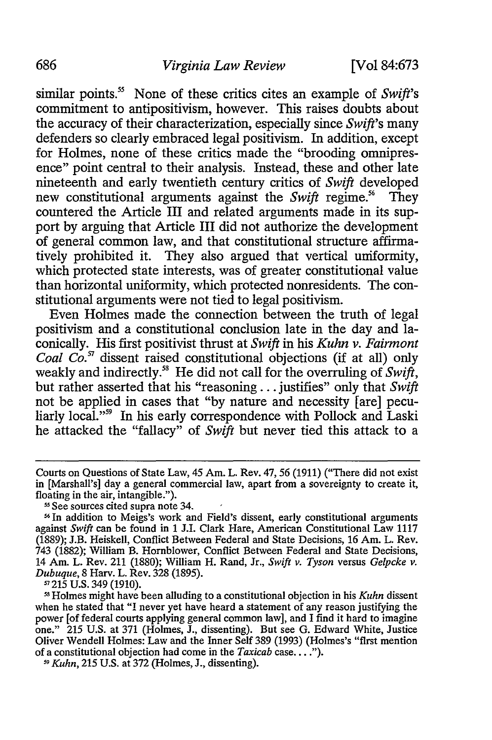similar points.<sup>55</sup> None of these critics cites an example of *Swift's* commitment to antipositivism, however. This raises doubts about the accuracy of their characterization, especially since *Swift's* many defenders so clearly embraced legal positivism. In addition, except for Holmes, none of these critics made the "brooding omnipresence" point central to their analysis. Instead, these and other late nineteenth and early twentieth century critics of *Swift* developed new constitutional arguments against the *Swift* regime.<sup>56</sup> They countered the Article III and related arguments made in its support by arguing that Article III did not authorize the development of general common law, and that constitutional structure affirmatively prohibited it. They also argued that vertical uniformity, which protected state interests, was of greater constitutional value than horizontal uniformity, which protected nonresidents. The constitutional arguments were not tied to legal positivism.

Even Holmes made the connection between the truth of legal positivism and a constitutional conclusion late in the day and laconically. His first positivist thrust at *Swift* in his *Kuhn v. Fairmont Coal Co.'* dissent raised constitutional objections (if at all) only weakly and indirectly." He did not call for the overruling of *Swift,* but rather asserted that his "reasoning... justifies" only that *Swift* not be applied in cases that "by nature and necessity [are] peculiarly local."59 In his early correspondence with Pollock and Laski he attacked the "fallacy" of *Swift* but never tied this attack to a

**5** See sources cited supra note 34.

215 U.S. 349 (1910).

Courts on Questions of State Law, 45 Am. L. Rev. 47, 56 (1911) ("There did not exist in [Marshall's] day a general commercial law, apart from a sovereignty to create it, floating in the air, intangible.").

**<sup>16</sup>** In addition to Meigs's work and Field's dissent, early constitutional arguments against *Swift* can be found in 1 J.I. Clark Hare, American Constitutional Law 1117 (1889); J.B. Heiskell, Conflict Between Federal and State Decisions, 16 Am. L. Rev. 743 (1882); William B. Hornblower, Conflict Between Federal and State Decisions, 14 Am. L. Rev. 211 (1880); William H. Rand, Jr., *Swift v. Tyson* versus *Gelpcke v. Dubuque,* 8 Harv. L. Rev. 328 (1895).

Holmes might have been alluding to a constitutional objection in his *Kuhn* dissent when he stated that **"I** never yet have heard a statement of any reason justifying the power [of federal courts applying general common law], and I find it hard to imagine one." 215 U.S. at 371 (Holmes, J., dissenting). But see G. Edward White, Justice Oliver Wendell Holmes: Law and the Inner Self 389 (1993) (Holmes's "first mention of a constitutional objection had come in the *Taxicab* case.... *.*

**<sup>19</sup>** *Kuhn,* 215 U.S. at 372 (Holmes, J., dissenting).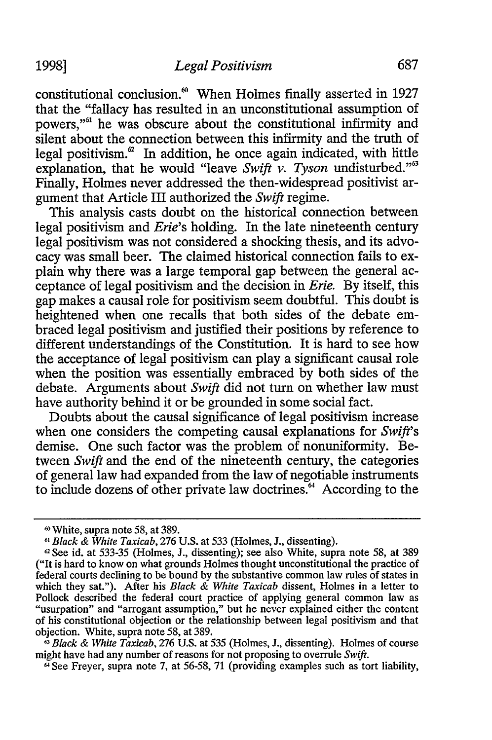constitutional conclusion.<sup>60</sup> When Holmes finally asserted in 1927 that the "fallacy has resulted in an unconstitutional assumption of powers,"<sup>61</sup> he was obscure about the constitutional infirmity and silent about the connection between this infirmity and the truth of legal positivism. $a^2$  In addition, he once again indicated, with little explanation, that he would "leave Swift v. Tyson undisturbed."<sup>63</sup> Finally, Holmes never addressed the then-widespread positivist argument that Article III authorized the *Swift* regime.

This analysis casts doubt on the historical connection between legal positivism and *Erie's* holding. In the late nineteenth century legal positivism was not considered a shocking thesis, and its advocacy was small beer. The claimed historical connection fails to explain why there was a large temporal gap between the general acceptance of legal positivism and the decision in *Erie.* By itself, this gap makes a causal role for positivism seem doubtful. This doubt is heightened when one recalls that both sides of the debate embraced legal positivism and justified their positions by reference to different understandings of the Constitution. It is hard to see how the acceptance of legal positivism can play a significant causal role when the position was essentially embraced by both sides of the debate. Arguments about *Swift* did not turn on whether law must have authority behind it or be grounded in some social fact.

Doubts about the causal significance of legal positivism increase when one considers the competing causal explanations for *Swift's* demise. One such factor was the problem of nonuniformity. Between *Swift* and the end of the nineteenth century, the categories of general law had expanded from the law of negotiable instruments to include dozens of other private law doctrines.<sup>64</sup> According to the

**<sup>10</sup>** White, supra note 58, at 389.

*<sup>61</sup> Black & White Taxicab,* 276 U.S. at 533 (Holmes, J., dissenting).

<sup>&</sup>lt;sup>42</sup> See id. at 533-35 (Holmes, J., dissenting); see also White, supra note 58, at 389 ("It is hard to know on what grounds Holmes thought unconstitutional the practice of federal courts declining to be bound by the substantive common law rules of states in which they sat."). After his *Black & White Taxicab* dissent, Holmes in a letter to Pollock described the federal court practice of applying general common law as "usurpation" and "arrogant assumption," but he never explained either the content of his constitutional objection or the relationship between legal positivism and that objection. White, supra note 58, at 389.

*<sup>3</sup>Black & White Taxicab,* 276 U.S. at 535 (Holmes, J., dissenting). Holmes of course might have had any number of reasons for not proposing to overrule Swift.

 $4$  See Freyer, supra note 7, at 56-58, 71 (providing examples such as tort liability,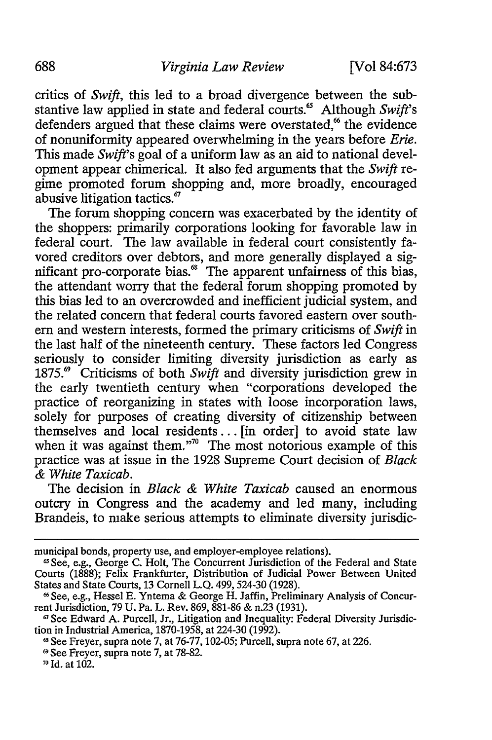critics of *Swift,* this led to a broad divergence between the substantive law applied in state and federal courts.<sup>65</sup> Although *Swift's* defenders argued that these claims were overstated,<sup>66</sup> the evidence of nonuniformity appeared overwhelming in the years before *Erie.* This made *Swift's* goal of a uniform law as an aid to national development appear chimerical. It also fed arguments that the *Swift* regime promoted forum shopping and, more broadly, encouraged abusive litigation tactics.<sup>67</sup>

The forum shopping concern was exacerbated by the identity of the shoppers: primarily corporations looking for favorable law in federal court. The law available in federal court consistently favored creditors over debtors, and more generally displayed a significant pro-corporate bias.<sup>68</sup> The apparent unfairness of this bias, the attendant worry that the federal forum shopping promoted by this bias led to an overcrowded and inefficient judicial system, and the related concern that federal courts favored eastern over southern and western interests, formed the primary criticisms of *Swift* in the last half of the nineteenth century. These factors led Congress seriously to consider limiting diversity jurisdiction as early as 1875.<sup>69</sup> Criticisms of both *Swift* and diversity jurisdiction grew in the early twentieth century when "corporations developed the practice of reorganizing in states with loose incorporation laws, solely for purposes of creating diversity of citizenship between themselves and local residents... [in order] to avoid state law when it was against them. $n^{70}$  The most notorious example of this practice was at issue in the 1928 Supreme Court decision of *Black & White Taxicab.*

The decision in *Black & White Taxicab* caused an enormous outcry in Congress and the academy and led many, including Brandeis, to make serious attempts to eliminate diversity jurisdic-

**70** Id. at 102.

municipal bonds, property use, and employer-employee relations).

See, e.g., George C. Holt, The Concurrent Jurisdiction of the Federal and State Courts (1888); Felix Frankfurter, Distribution of Judicial Power Between United States and State Courts, 13 Cornell L.Q. 499, 524-30 (1928).

<sup>6</sup>See, e.g., Hessel E. Yntema & George H. Jaffin, Preliminary Analysis of Concurrent Jurisdiction, 79 U. Pa. L. Rev. 869, 881-86 & n.23 (1931).

**<sup>67</sup>** See Edward A. Purcell, Jr., Litigation and Inequality: Federal Diversity Jurisdiction in Industrial America, 1870-1958, at 224-30 (1992).

**<sup>6&</sup>quot;** See Freyer, supra note 7, at 76-77, 102-05; Purcell, supra note 67, at 226.

**<sup>11</sup>** See Freyer, supra note 7, at 78-82.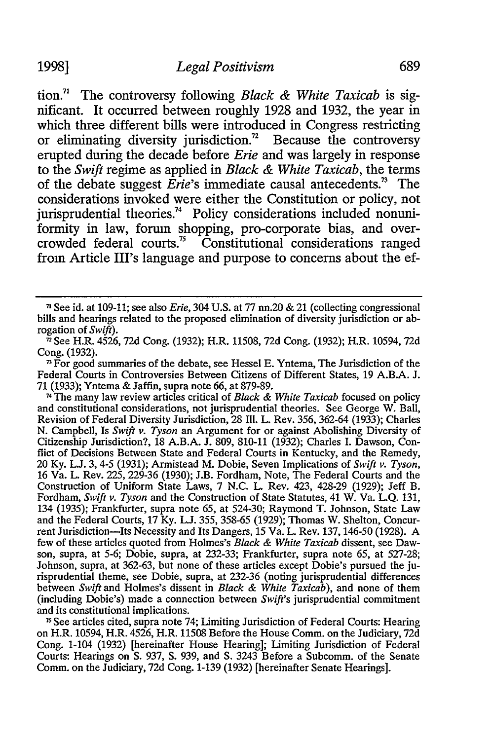tion.7 " The controversy following *Black & White Taxicab* is significant. It occurred between roughly 1928 and 1932, the year in which three different bills were introduced in Congress restricting or eliminating diversity jurisdiction.<sup> $n$ </sup> Because the controversy erupted during the decade before *Erie* and was largely in response to the *Swift* regime as applied in *Black & White Taxicab,* the terms of the debate suggest *Erie's* immediate causal antecedents.<sup>73</sup> The considerations invoked were either the Constitution or policy, not jurisprudential theories.<sup>74</sup> Policy considerations included nonuniformity in law, forum shopping, pro-corporate bias, and overcrowded federal courts.75 Constitutional considerations ranged from Article III's language and purpose to concerns about the ef-

 $\sqrt[n]{r}$  For good summaries of the debate, see Hessel E. Yntema, The Jurisdiction of the Federal Courts in Controversies Between Citizens of Different States, 19 A.B.A. J. 71 (1933); Yntema & Jaffin, supra note 66, at 879-89.

<sup>14</sup> The many law review articles critical of *Black & White Taxicab* focused on policy and constitutional considerations, not jurisprudential theories. See George W. Ball, Revision of Federal Diversity Jurisdiction, 28 Ill. L. Rev. 356, 362-64 (1933); Charles N. Campbell, Is *Swift v. Tyson* an Argument for or against Abolishing Diversity of Citizenship Jurisdiction?, **18** A.B.A. J. 809, 810-11 (1932); Charles I. Dawson, Conflict of Decisions Between State and Federal Courts in Kentucky, and the Remedy, 20 Ky. **LJ.** 3, 4-5 (1931); Armistead M. Dobie, Seven Implications of *Swift v. Tyson,* 16 Va. L. Rev. 225, 229-36 (1930); J.B. Fordham, Note, The Federal Courts and the Construction of Uniform State Laws, 7 N.C. L. Rev. 423, 428-29 (1929); Jeff B. Fordham, *Swift v. Tyson* and the Construction of State Statutes, 41 W. Va. L.Q. 131, 134 (1935); Frankfurter, supra note 65, at 524-30; Raymond T. Johnson, State Law and the Federal Courts, 17 Ky. **L.J.** 355, 358-65 (1929); Thomas W. Shelton, Concurrent Jurisdiction-Its Necessity and Its Dangers, 15 Va. L. Rev. 137, 146-50 (1928). A few of these articles quoted from Holmes's *Black & White Taxicab* dissent, see Dawson, supra, at 5-6; Dobie, supra, at 232-33; Frankfurter, supra note 65, at 527-28; Johnson, supra, at 362-63, but none of these articles except Dobie's pursued the jurisprudential theme, see Dobie, supra, at 232-36 (noting jurisprudential differences between *Swift* and Holmes's dissent in *Black & White Taxicab),* and none of them (including Dobie's) made a connection between *Swift's* jurisprudential commitment and its constitutional implications.

75 See articles cited, supra note 74; Limiting Jurisdiction of Federal Courts: Hearing on H.R. 10594, H.R. 4526, H.R. 11508 Before the House Comm. on the Judiciary, 72d Cong. 1-104 (1932) [hereinafter House Hearing]; Limiting Jurisdiction of Federal Courts: Hearings on **S.** 937, **S.** 939, and **S.** 3243 Before a Subcomm. of the Senate Comm. on the Judiciary, 72d Cong. 1-139 (1932) [hereinafter Senate Hearings].

<sup>7&#</sup>x27; See id. at 109-11; see also *Erie,* 304 U.S. at 77 nn.20 & 21 (collecting congressional bills and hearings related to the proposed elimination of diversity jurisdiction or abrogation of *Swift).*

 $\bar{\tau}$  See H.R. 4526, 72d Cong. (1932); H.R. 11508, 72d Cong. (1932); H.R. 10594, 72d Cong. (1932).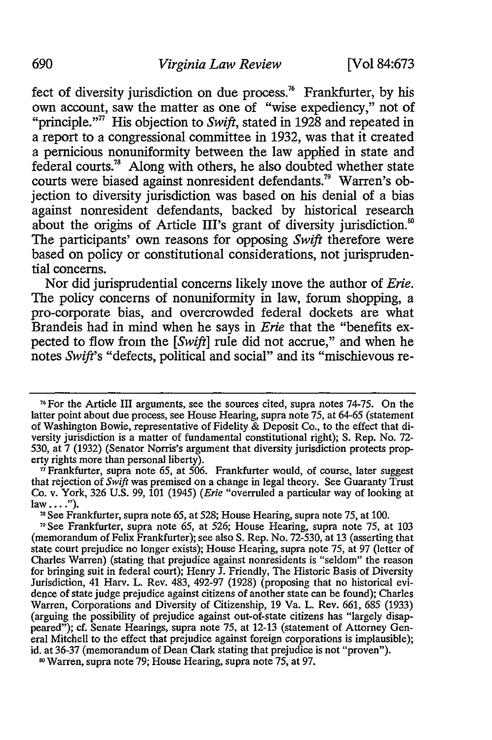fect of diversity jurisdiction on due process.<sup>76</sup> Frankfurter, by his own account, saw the matter as one of "wise expediency," not of "principle."<sup>77</sup> His objection to *Swift*, stated in 1928 and repeated in a report to a congressional committee in 1932, was that it created a pernicious nonuniformity between the law applied in state and federal courts.<sup>78</sup> Along with others, he also doubted whether state courts were biased against nonresident defendants.79 Warren's objection to diversity jurisdiction was based on his denial of a bias against nonresident defendants, backed by historical research about the origins of Article III's grant of diversity jurisdiction.<sup>80</sup> The participants' own reasons for opposing *Swift* therefore were based on policy or constitutional considerations, not jurisprudential concerns.

Nor did jurisprudential concerns likely move the author of *Erie.* The policy concerns of nonuniformity in law, forum shopping, a pro-corporate bias, and overcrowded federal dockets are what Brandeis had in mind when he says in *Erie* that the "benefits expected to flow from the *[Swift]* rule did not accrue," and when he notes *Swift's* "defects, political and social" and its "mischievous re-

**n'** See Frankfurter, supra note 65, at 528; House Hearing, supra note 75, at 100.

**<sup>76</sup>**For the Article III arguments, see the sources cited, supra notes 74-75. On the latter point about due process, see House Hearing, supra note 75, at 64-65 (statement of Washington Bowie, representative of Fidelity & Deposit Co., to the effect that diversity jurisdiction is a matter of fundamental constitutional right); S. Rep. No. 72- 530, at 7 (1932) (Senator Norris's argument that diversity jurisdiction protects property rights more than personal liberty).

**<sup>71</sup>**Frankfurter, supra note 65, at 506. Frankfurter would, of course, later suggest that rejection of *Swift* was premised on a change in legal theory. See Guaranty Trust Co. v. York, 326 U.S. 99, 101 (1945) *(Erie* "overruled a particular way of looking at law .... **).**

**<sup>71</sup>**See Frankfurter, supra note 65, at 526; House Hearing, supra note 75, at 103 (memorandum of Felix Frankfurter); see also S. Rep. No. 72-530, at 13 (asserting that state court prejudice no longer exists); House Hearing, supra note 75, at 97 (letter of Charles Warren) (stating that prejudice against nonresidents is "seldom" the reason for bringing suit in federal court); Henry J. Friendly, The Historic Basis of Diversity Jurisdiction, 41 Harv. L. Rev. 483, 492-97 (1928) (proposing that no historical evidence of state judge prejudice against citizens of another state can be found); Charles Warren, Corporations and Diversity of Citizenship, 19 Va. L. Rev. 661, 685 (1933) (arguing the possibility of prejudice against out-of-state citizens has "largely disappeared"); cf. Senate Hearings, supra note 75, at 12-13 (statement of Attorney General Mitchell to the effect that prejudice against foreign corporations is implausible); id. at 36-37 (memorandum of Dean Clark stating that prejudice is not "proven").

**<sup>80</sup>** Warren, supra note 79; House Hearing, supra note 75, at 97.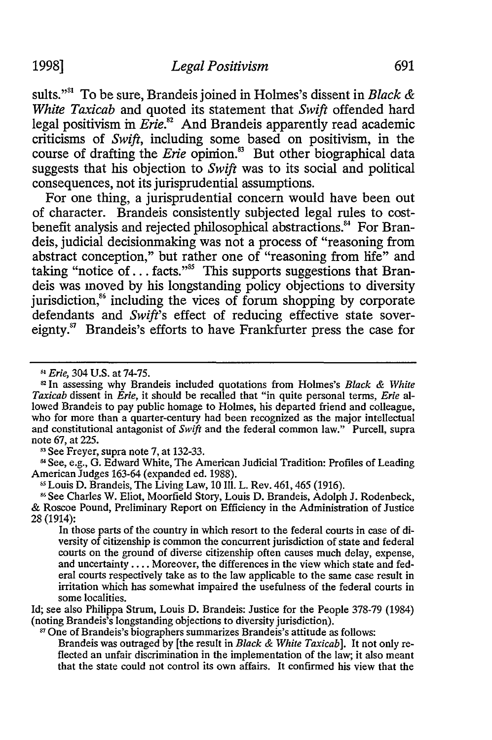suits.""' To be sure, Brandeis joined in Holmes's dissent in *Black & White Taxicab* and quoted its statement that *Swift* offended hard legal positivism in *Erie*.<sup>82</sup> And Brandeis apparently read academic criticisms of *Swift,* including some based on positivism, in the course of drafting the *Erie* opimon.<sup>83</sup> But other biographical data suggests that his objection to *Swift* was to its social and political consequences, not its jurisprudential assumptions.

For one thing, a jurisprudential concern would have been out of character. Brandeis consistently subjected legal rules to costbenefit analysis and rejected philosophical abstractions.<sup>84</sup> For Brandeis, judicial decisionmaking was not a process of "reasoning from abstract conception," but rather one of "reasoning from life" and taking "notice of ... facts."<sup>55</sup> This supports suggestions that Brandeis was moved by his longstanding policy objections to diversity jurisdiction,<sup>86</sup> including the vices of forum shopping by corporate defendants and *Swift's* effect of reducing effective state sovereignty. $\mathcal{I}$  Brandeis's efforts to have Frankfurter press the case for

**-3** See Freyer, supra note 7, at 132-33.

See, e.g., **G.** Edward White, The American Judicial Tradition: Profiles of Leading American Judges 163-64 (expanded ed. 1988).

**1,** Louis D. Brandeis, The Living Law, 10 Ill. L. Rev. 461,465 (1916).

In those parts of the country in which resort to the federal courts in case of diversity of citizenship is common the concurrent jurisdiction of state and federal courts on the ground of diverse citizenship often causes much delay, expense, and uncertainty .... Moreover, the differences in the view which state and federal courts respectively take as to the law applicable to the same case result in irritation which has somewhat impaired the usefulness of the federal courts in some localities.

Id; see also Philippa Strum, Louis D. Brandeis: Justice for the People 378-79 (1984) (noting Brandeis's longstanding objections to diversity jurisdiction).

**9** One of Brandeis's biographers summarizes Brandeis's attitude as follows:

Brandeis was outraged by [the result in *Black & White Taxicab].* It not only reflected an unfair discrimination in the implementation of the law; it also meant that the state could not control its own affairs. It confirmed his view that the

*bErie,* 304 U.S. at 74-75.

In assessing why Brandeis included quotations from Holmes's *Black & White Taxicab* dissent in *Erie,* it should be recalled that "in quite personal terms, *Erie* allowed Brandeis to pay public homage to Holmes, his departed friend and colleague, who for more than a quarter-century had been recognized as the major intellectual and constitutional antagonist of *Swift* and the federal common law." Purcell, supra note 67, at 225.

**<sup>16</sup>**See Charles W. Eliot, Moorfield Story, Louis D. Brandeis, Adolph J. Rodenbeck, & Roscoe Pound, Preliminary Report on Efficiency in the Administration of Justice 28 (1914):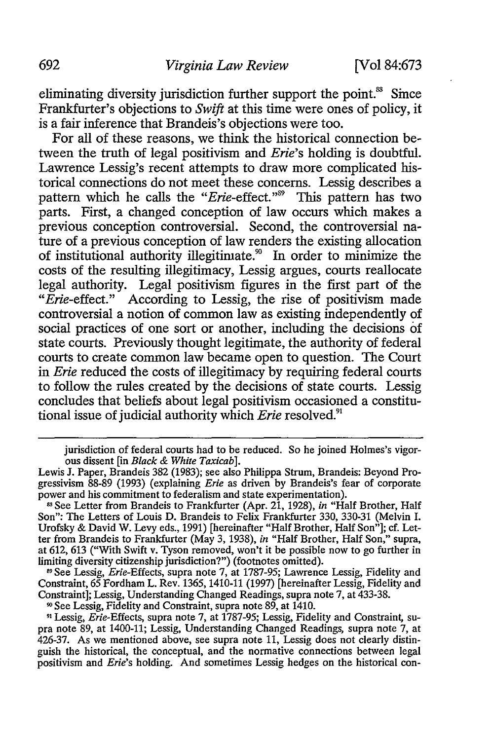eliminating diversity jurisdiction further support the point.<sup>88</sup> Since Frankfurter's objections to *Swift* at this time were ones of policy, it is a fair inference that Brandeis's objections were too.

For all of these reasons, we think the historical connection between the truth of legal positivism and *Erie's* holding is doubtful. Lawrence Lessig's recent attempts to draw more complicated historical connections do not meet these concerns. Lessig describes a pattern which he calls the *"Erie-effect."9* This pattern has two parts. First, a changed conception of law occurs which makes a previous conception controversial. Second, the controversial nature of a previous conception of law renders the existing allocation of institutional authority illegitimate.<sup>90</sup> In order to minimize the costs of the resulting illegitimacy, Lessig argues, courts reallocate legal authority. Legal positivism figures in the first part of the *"Erie-effect."* According to Lessig, the rise of positivism made controversial a notion of common law as existing independently of social practices of one sort or another, including the decisions of state courts. Previously thought legitimate, the authority of federal courts to create common law became open to question. The Court in *Erie* reduced the costs of illegitimacy by requiring federal courts to follow the rules created by the decisions of state courts. Lessig concludes that beliefs about legal positivism occasioned a constitutional issue of judicial authority which *Erie* resolved.<sup>91</sup>

**10** See Lessig, Fidelity and Constraint, supra note 89, at 1410.

**11** Lessig, *Erie-Effects,* supra note 7, at 1787-95; Lessig, Fidelity and Constraint, supra note 89, at 1400-11; Lessig, Understanding Changed Readings, supra note 7, at 426-37. As we mentioned above, see supra note 11, Lessig does not clearly distinguish the historical, the conceptual, and the normative connections between legal positivism and *Erie's* holding. And sometimes Lessig hedges on the historical con-

jurisdiction of federal courts had to be reduced. So he joined Holmes's vigorous dissent [in *Black & White Taxicab].*

Lewis J. Paper, Brandeis 382 (1983); see also Philippa Strum, Brandeis: Beyond Progressivism 88-89 (1993) (explaining *Erie* as driven by Brandeis's fear of corporate power and his commitment to federalism and state experimentation).

**as** See Letter from Brandeis to Frankfurter (Apr. 21, 1928), *in* "Half Brother, Half Son": The Letters of Louis D. Brandeis to Felix Frankfurter 330, 330-31 (Melvin I. Urofsky & David W. Levy eds., 1991) [hereinafter "Half Brother, Half Son"]; cf. Letter from Brandeis to Frankfurter (May 3, 1938), *in* "Half Brother, Half Son," supra, at 612, 613 ("With Swift v. Tyson removed, won't it be possible now to go further in limiting diversity citizenship jurisdiction?") (footnotes omitted).

See Lessig, *Erie-Effects,* supra note 7, at 1787-95; Lawrence Lessig, Fidelity and Constraint, 65 Fordham L. Rev. 1365, 1410-11 (1997) [hereinafter Lessig, Fidelity and Constraint]; Lessig, Understanding Changed Readings, supra note 7, at 433-38.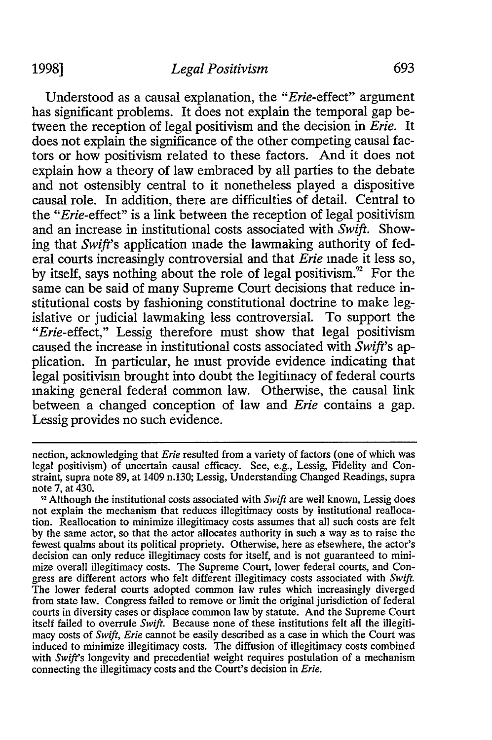Understood as a causal explanation, the *"Erie-effect"* argument has significant problems. It does not explain the temporal gap between the reception of legal positivism and the decision in *Erie.* It does not explain the significance of the other competing causal factors or how positivism related to these factors. And it does not explain how a theory of law embraced by all parties to the debate and not ostensibly central to it nonetheless played a dispositive causal role. In addition, there are difficulties of detail. Central to the *"Erie-effect"* is a link between the reception of legal positivism and an increase in institutional costs associated with *Swift.* Showing that *Swift's* application made the lawmaking authority of federal courts increasingly controversial and that *Erie* made it less so, by itself, says nothing about the role of legal positivism.<sup>92</sup> For the same can be said of many Supreme Court decisions that reduce institutional costs by fashioning constitutional doctrine to make legislative or judicial lawmaking less controversial. To support the "Erie-effect," Lessig therefore must show that legal positivism caused the increase in institutional costs associated with *Swift's* application. In particular, he must provide evidence indicating that legal positivism brought into doubt the legitimacy of federal courts making general federal common law. Otherwise, the causal link between a changed conception of law and *Erie* contains a gap. Lessig provides no such evidence.

nection, acknowledging that *Erie* resulted from a variety of factors (one of which was legal positivism) of uncertain causal efficacy. See, e.g., Lessig, Fidelity and Constraint, supra note 89, at 1409 n.130; Lessig, Understanding Changed Readings, supra note 7, at 430.

**<sup>11</sup>** Although the institutional costs associated with *Swift* are well known, Lessig does not explain the mechanism that reduces illegitimacy costs by institutional reallocation. Reallocation to minimize illegitimacy costs assumes that all such costs are felt by the same actor, so that the actor allocates authority in such a way as to raise the fewest qualms about its political propriety. Otherwise, here as elsewhere, the actor's decision can only reduce illegitimacy costs for itself, and is not guaranteed to minimize overall illegitimacy costs. The Supreme Court, lower federal courts, and Congress are different actors who felt different illegitimacy costs associated with *Swift.* The lower federal courts adopted common law rules which increasingly diverged from state law. Congress failed to remove or limit the original jurisdiction of federal courts in diversity cases or displace common law by statute. And the Supreme Court itself failed to overrule *Swift.* Because none of these institutions felt all the illegitimacy costs of *Swift, Erie* cannot be easily described as a case in which the Court was induced to minimize illegitimacy costs. The diffusion of illegitimacy costs combined with *Swift's* longevity and precedential weight requires postulation of a mechanism connecting the illegitimacy costs and the Court's decision in *Erie.*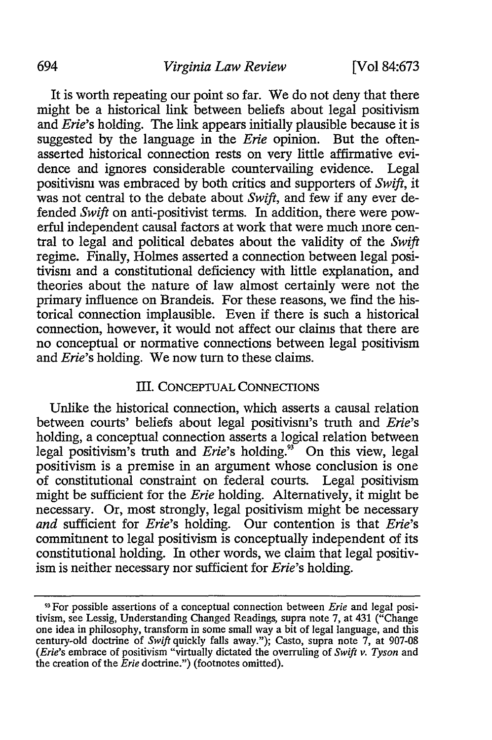## *Virginia Law Review 694* [Vol **84:673**

It is worth repeating our point so far. We do not deny that there might be a historical link between beliefs about legal positivism and *Erie's* holding. The link appears initially plausible because it is suggested by the language in the *Erie* opinion. But the oftenasserted historical connection rests on very little affirmative evidence and ignores considerable countervailing evidence. Legal positivism was embraced by both critics and supporters of *Swift,* it was not central to the debate about *Swift,* and few if any ever defended *Swift* on anti-positivist terms. In addition, there were powerful independent causal factors at work that were much more central to legal and political debates about the validity of the *Swift* regime. Finally, Holmes asserted a connection between legal positivism and a constitutional deficiency with little explanation, and theories about the nature of law almost certainly were not the primary influence on Brandeis. For these reasons, we find the historical connection implausible. Even if there is such a historical connection, however, it would not affect our claims that there are no conceptual or normative connections between legal positivism and *Erie's* holding. We now turn to these claims.

### III. CONCEPTUAL CONNECTIONS

Unlike the historical connection, which asserts a causal relation between courts' beliefs about legal positivism's truth and *Erie's* holding, a conceptual connection asserts a logical relation between legal positivism's truth and *Erie's* holding.<sup>93</sup> On this view, legal positivism is a premise in an argument whose conclusion is one of constitutional constraint on federal courts. Legal positivism might be sufficient for the *Erie* holding. Alternatively, it might be necessary. Or, most strongly, legal positivism might be necessary *and* sufficient for *Erie's* holding. Our contention is that *Erie's* commitment to legal positivism is conceptually independent of its constitutional holding. In other words, we claim that legal positivism is neither necessary nor sufficient for *Erie's* holding.

For possible assertions of a conceptual connection between *Erie* and legal positivism, see Lessig, Understanding Changed Readings, supra note 7, at 431 ("Change one idea in philosophy, transform in some small way a bit of legal language, and this century-old doctrine of *Swift* quickly falls away."); Casto, supra note 7, at 907-08 *(Erie's* embrace of positivism "virtually dictated the overruling of *Swift v. Tyson* and the creation of the *Erie* doctrine.") (footnotes omitted).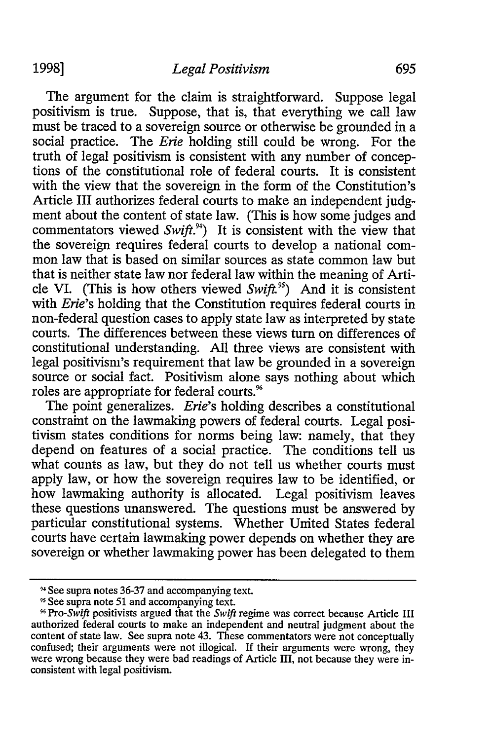The argument for the claim is straightforward. Suppose legal positivism is true. Suppose, that is, that everything we call law must be traced to a sovereign source or otherwise be grounded in a social practice. The *Erie* holding still could be wrong. For the truth of legal positivism is consistent with any number of conceptions of the constitutional role of federal courts. It is consistent with the view that the sovereign in the form of the Constitution's Article III authorizes federal courts to make an independent judgment about the content of state law. (This is how some judges and commentators viewed *Swift*.<sup>94</sup>) It is consistent with the view that the sovereign requires federal courts to develop a national common law that is based on similar sources as state common law but that is neither state law nor federal law within the meaning of Article VI. (This is how others viewed *Swift.*<sup>95</sup>) And it is consistent with *Erie's* holding that the Constitution requires federal courts in non-federal question cases to apply state law as interpreted by state courts. The differences between these views turn on differences of constitutional understanding. All three views are consistent with legal positivism's requirement that law be grounded in a sovereign source or social fact. Positivism alone says nothing about which roles are appropriate for federal courts.<sup>86</sup>

The point generalizes. *Erie's* holding describes a constitutional constraint on the lawmaking powers of federal courts. Legal positivism states conditions for norms being law: namely, that they depend on features of a social practice. The conditions tell us what counts as law, but they do not tell us whether courts must apply law, or how the sovereign requires law to be identified, or how lawmaking authority is allocated. Legal positivism leaves these questions unanswered. The questions must be answered by particular constitutional systems. Whether United States federal courts have certain lawmaking power depends on whether they are sovereign or whether lawmaking power has been delegated to them

<sup>14</sup> See supra notes 36-37 and accompanying text.

See supra note 51 and accompanying text.

Pro-Swift positivists argued that the *Swift* regime was correct because Article III authorized federal courts to make an independent and neutral judgment about the content of state law. See supra note 43. These commentators were not conceptually confused; their arguments were not illogical. If their arguments were wrong, they were wrong because they were bad readings of Article III, not because they were inconsistent with legal positivism.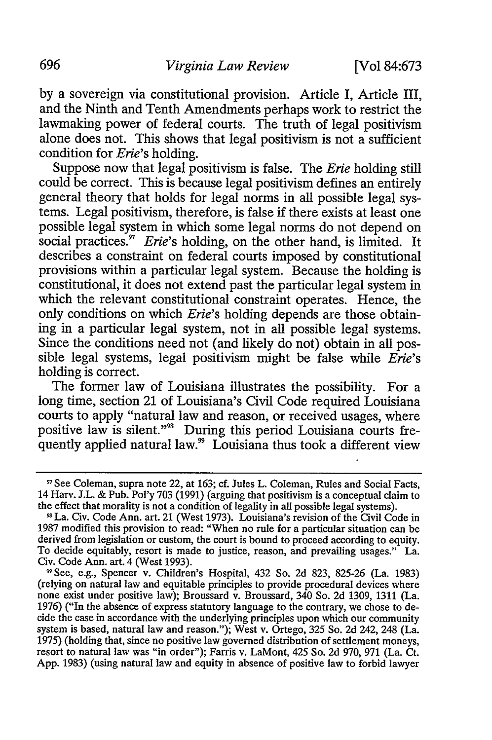by a sovereign via constitutional provision. Article I, Article III, and the Ninth and Tenth Amendments perhaps work to restrict the lawmaking power of federal courts. The truth of legal positivism alone does not. This shows that legal positivism is not a sufficient condition for *Erie's* holding.

Suppose now that legal positivism is false. The *Erie* holding still could be correct. This is because legal positivism defines an entirely general theory that holds for legal norms in all possible legal systems. Legal positivism, therefore, is false if there exists at least one possible legal system in which some legal norms do not depend on social practices.<sup>97</sup> *Erie's* holding, on the other hand, is limited. It describes a constraint on federal courts imposed by constitutional provisions within a particular legal system. Because the holding is constitutional, it does not extend past the particular legal system in which the relevant constitutional constraint operates. Hence, the only conditions on which *Erie's* holding depends are those obtaining in a particular legal system, not in all possible legal systems. Since the conditions need not (and likely do not) obtain in all possible legal systems, legal positivism might be false while *Erie's* holding is correct.

The former law of Louisiana illustrates the possibility. For a long time, section 21 of Louisiana's Civil Code required Louisiana courts to apply "natural law and reason, or received usages, where positive law is silent."<sup>98</sup> During this period Louisiana courts frequently applied natural law.<sup>99</sup> Louisiana thus took a different view

**<sup>17</sup>**See Coleman, supra note 22, at 163; cf. Jules L. Coleman, Rules and Social Facts, 14 Harv. J.L. & Pub. Pol'y 703 (1991) (arguing that positivism is a conceptual claim to the effect that morality is not a condition of legality in all possible legal systems).

**Is** La. Civ. Code Ann. art. 21 (West 1973). Louisiana's revision of the Civil Code in 1987 modified this provision to read: "When no rule for a particular situation can be derived from legislation or custom, the court is bound to proceed according to equity. To decide equitably, resort is made to justice, reason, and prevailing usages." La. Civ. Code Ann. art. 4 (West 1993).

See, e.g., Spencer v. Children's Hospital, 432 So. 2d 823, 825-26 (La. 1983) (relying on natural law and equitable principles to provide procedural devices where none exist under positive law); Broussard v. Broussard, 340 So. 2d 1309, 1311 (La. 1976) ("In the absence of express statutory language to the contrary, we chose to decide the case in accordance with the underlying principles upon which our community system is based, natural law and reason."); West v. Ortego, 325 So. 2d 242, 248 (La. 1975) (holding that, since no positive law governed distribution of settlement moneys, resort to natural law was "in order"); Farris v. LaMont, 425 So. 2d 970, 971 (La. Ct. App. 1983) (using natural law and equity in absence of positive law to forbid lawyer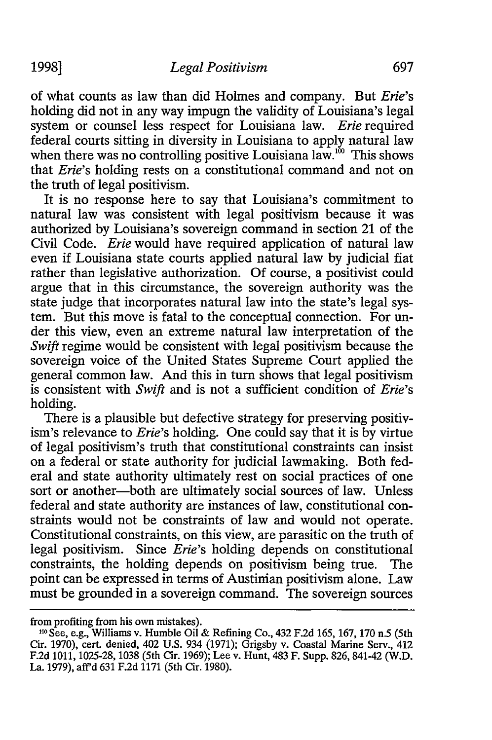of what counts as law than did Holmes and company. But *Erie's* holding did not in any way impugn the validity of Louisiana's legal system or counsel less respect for Louisiana law. *Erie* required federal courts sitting in diversity in Louisiana to apply natural law when there was no controlling positive Louisiana law.<sup>160</sup> This shows that *Erie's* holding rests on a constitutional command and not on the truth of legal positivism.

It is no response here to say that Louisiana's commitment to natural law was consistent with legal positivism because it was authorized by Louisiana's sovereign command in section 21 of the Civil Code. *Erie* would have required application of natural law even if Louisiana state courts applied natural law by judicial fiat rather than legislative authorization. Of course, a positivist could argue that in this circumstance, the sovereign authority was the state judge that incorporates natural law into the state's legal system. But this move is fatal to the conceptual connection. For under this view, even an extreme natural law interpretation of the *Swift* regime would be consistent with legal positivism because the sovereign voice of the United States Supreme Court applied the general common law. And this in turn shows that legal positivism is consistent with *Swift* and is not a sufficient condition of *Erie's* holding.

There is a plausible but defective strategy for preserving positivism's relevance to *Erie's* holding. One could say that it is by virtue of legal positivism's truth that constitutional constraints can insist on a federal or state authority for judicial lawmaking. Both federal and state authority ultimately rest on social practices of one sort or another-both are ultimately social sources of law. Unless federal and state authority are instances of law, constitutional constraints would not be constraints of law and would not operate. Constitutional constraints, on this view, are parasitic on the truth of legal positivism. Since *Erie's* holding depends on constitutional constraints, the holding depends on positivism being true. The point can be expressed in terms of Austinian positivism alone. Law must be grounded in a sovereign command. The sovereign sources

from profiting from his own mistakes).

**<sup>-</sup>C°** See, e.g., Williams v. Humble Oil & Refining Co., 432 F.2d 165, 167, 170 n.5 (5th Cir. 1970), cert. denied, 402 U.S. 934 (1971); Grigsby v. Coastal Marine Serv., 412 F.2d 1011, 1025-28, 1038 (5th Cir. 1969); Lee v. Hunt, 483 F. Supp. 826, 841-42 (W.D. La. 1979), aff'd 631 F.2d 1171 (5th Cir. 1980).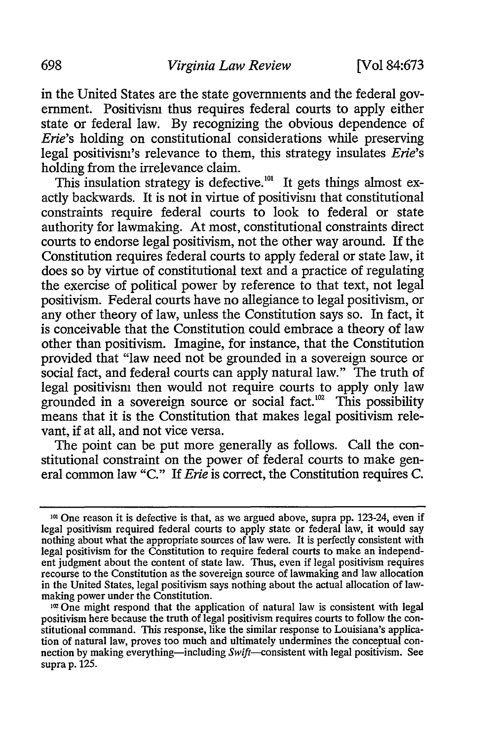in the United States are the state governments and the federal government. Positivism thus requires federal courts to apply either state or federal law. By recognizing the obvious dependence of *Erie's* holding on constitutional considerations while preserving legal positivism's relevance to them, this strategy insulates *Erie's* holding from the irrelevance claim.

This insulation strategy is defective.<sup>101</sup> It gets things almost exactly backwards. It is not in virtue of positivism that constitutional constraints require federal courts to look to federal or state authority for lawmaking. At most, constitutional constraints direct courts to endorse legal positivism, not the other way around. If the Constitution requires federal courts to apply federal or state law, it does so by virtue of constitutional text and a practice of regulating the exercise of political power by reference to that text, not legal positivism. Federal courts have no allegiance to legal positivism, or any other theory of law, unless the Constitution says so. In fact, it is conceivable that the Constitution could embrace a theory of law other than positivism. Imagine, for instance, that the Constitution provided that "law need not be grounded in a sovereign source or social fact, and federal courts can apply natural law." The truth of legal positivism then would not require courts to apply only law grounded in a sovereign source or social fact.<sup>102</sup> This possibility means that it is the Constitution that makes legal positivism relevant, if at all, and not vice versa.

The point can be put more generally as follows. Call the constitutional constraint on the power of federal courts to make general common law "C." If *Erie* is correct, the Constitution requires C.

**<sup>101</sup>** One reason it is defective is that, as we argued above, supra pp. 123-24, even if legal positivism required federal courts to apply state or federal law, it would say nothing about what the appropriate sources of law were. It is perfectly consistent with legal positivism for the Constitution to require federal courts to make an independent judgment about the content of state law. Thus, even if legal positivism requires recourse to the Constitution as the sovereign source of lawmaking and law allocation in the United States, legal positivism says nothing about the actual allocation of lawmaking power under the Constitution.

<sup>&</sup>lt;sup>102</sup> One might respond that the application of natural law is consistent with legal positivism here because the truth of legal positivism requires courts to follow the constitutional command. This response, like the similar response to Louisiana's application of natural law, proves too much and ultimately undermines the conceptual connection by making everything—including Swift-consistent with legal positivism. See supra p. 125.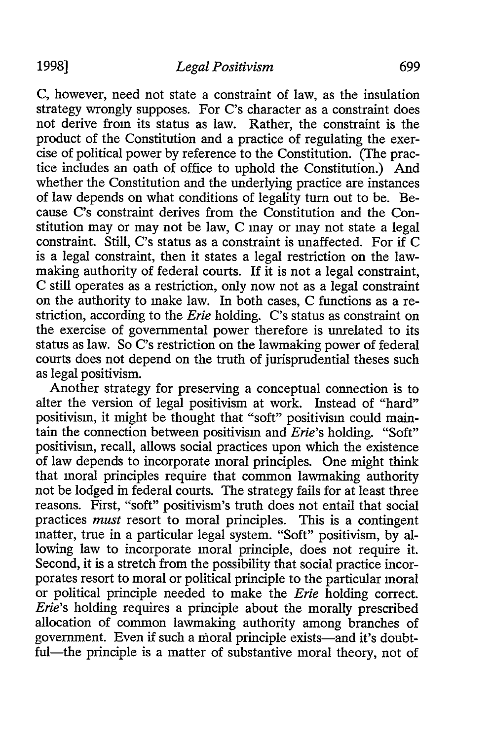C, however, need not state a constraint of law, as the insulation strategy wrongly supposes. For C's character as a constraint does not derive from its status as law. Rather, the constraint is the product of the Constitution and a practice of regulating the exercise of political power by reference to the Constitution. (The practice includes an oath of office to uphold the Constitution.) And whether the Constitution and the underlying practice are instances of law depends on what conditions of legality turn out to be. Because C's constraint derives from the Constitution and the Constitution may or may not be law, C may or may not state a legal constraint. Still, C's status as a constraint is unaffected. For if C is a legal constraint, then it states a legal restriction on the lawmaking authority of federal courts. If it is not a legal constraint, C still operates as a restriction, only now not as a legal constraint on the authority to make law. In both cases, C functions as a restriction, according to the *Erie* holding. C's status as constraint on the exercise of governmental power therefore is unrelated to its status as law. So C's restriction on the lawmaking power of federal courts does not depend on the truth of jurisprudential theses such as legal positivism.

Another strategy for preserving a conceptual connection is to alter the version of legal positivism at work. Instead of "hard" positivism, it might be thought that "soft" positivism could maintain the connection between positivism and *Erie's* holding. "Soft" positivism, recall, allows social practices upon which the existence of law depends to incorporate moral principles. One might think that moral principles require that common lawmaking authority not be lodged in federal courts. The strategy fails for at least three reasons. First, "soft" positivism's truth does not entail that social practices *must* resort to moral principles. This is a contingent matter, true in a particular legal system. "Soft" positivism, by allowing law to incorporate moral principle, does not require it. Second, it is a stretch from the possibility that social practice incorporates resort to moral or political principle to the particular moral or political principle needed to make the *Erie* holding correct. *Erie's* holding requires a principle about the morally prescribed allocation of common lawmaking authority among branches of government. Even if such a moral principle exists-and it's doubtful—the principle is a matter of substantive moral theory, not of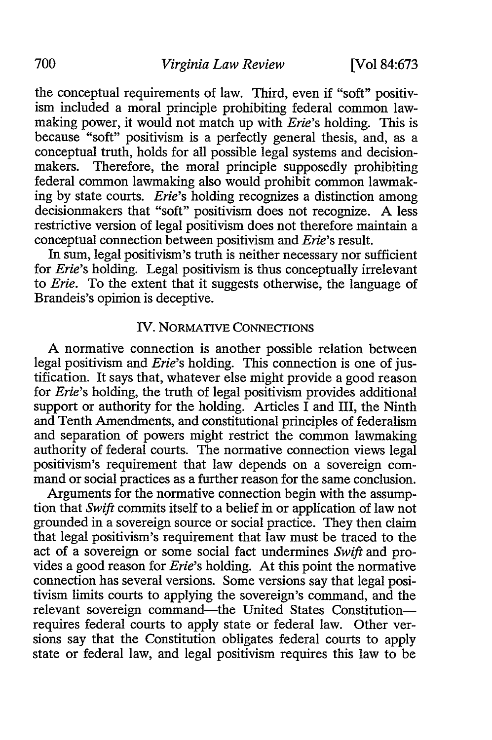## *Virginia Law Review* **700** [Vol **84:673**

the conceptual requirements of law. Third, even if "soft" positivism included a moral principle prohibiting federal common lawmaking power, it would not match up with *Erie's* holding. This is because "soft" positivism is a perfectly general thesis, and, as a conceptual truth, holds for all possible legal systems and decisionmakers. Therefore, the moral principle supposedly prohibiting federal common lawmaking also would prohibit common lawmaking by state courts. *Erie's* holding recognizes a distinction among decisionmakers that "soft" positivism does not recognize. A less restrictive version of legal positivism does not therefore maintain a conceptual connection between positivism and *Erie's* result.

In sum, legal positivism's truth is neither necessary nor sufficient for *Erie's* holding. Legal positivism is thus conceptually irrelevant to *Erie.* To the extent that it suggests otherwise, the language of Brandeis's opinion is deceptive.

### IV. NORMATIVE CONNECTIONS

A normative connection is another possible relation between legal positivism and *Erie's* holding. This connection is one of justification. It says that, whatever else might provide a good reason for *Erie's* holding, the truth of legal positivism provides additional support or authority for the holding. Articles I and III, the Ninth and Tenth Amendments, and constitutional principles of federalism and separation of powers might restrict the common lawmaking authority of federal courts. The normative connection views legal positivism's requirement that law depends on a sovereign command or social practices as a further reason for the same conclusion.

Arguments for the normative connection begin with the assumption that *Swift* commits itself to a belief in or application of law not grounded in a sovereign source or social practice. They then claim that legal positivism's requirement that law must be traced to the act of a sovereign or some social fact undermines *Swift* and provides a good reason for *Erie's* holding. At this point the normative connection has several versions. Some versions say that legal positivism limits courts to applying the sovereign's command, and the relevant sovereign command—the United States Constitution requires federal courts to apply state or federal law. Other versions say that the Constitution obligates federal courts to apply state or federal law, and legal positivism requires this law to be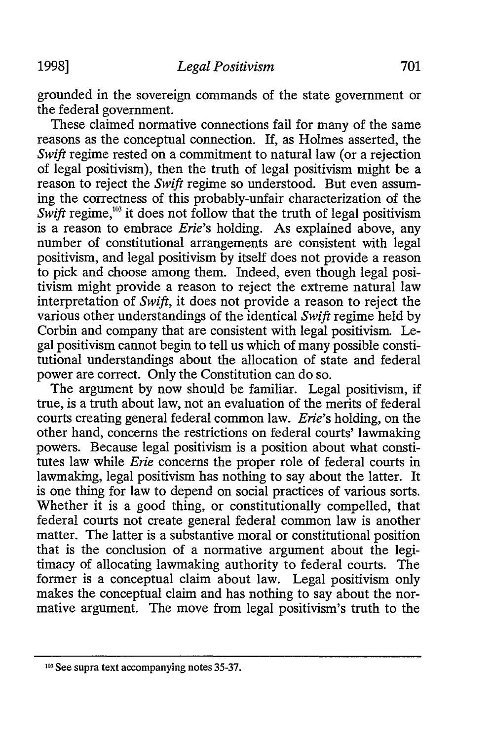grounded in the sovereign commands of the state government or the federal government.

These claimed normative connections fail for many of the same reasons as the conceptual connection. If, as Holmes asserted, the *Swift* regime rested on a commitment to natural law (or a rejection of legal positivism), then the truth of legal positivism might be a reason to reject the *Swift* regime so understood. But even assuming the correctness of this probably-unfair characterization of the *Swift* regime,<sup>103</sup> it does not follow that the truth of legal positivism is a reason to embrace *Erie's* holding. As explained above, any number of constitutional arrangements are consistent with legal positivism, and legal positivism by itself does not provide a reason to pick and choose among them. Indeed, even though legal positivism might provide a reason to reject the extreme natural law interpretation of *Swift,* it does not provide a reason to reject the various other understandings of the identical *Swift* regime held by Corbin and company that are consistent with legal positivism. Legal positivism cannot begin to tell us which of many possible constitutional understandings about the allocation of state and federal power are correct. Only the Constitution can do so.

The argument by now should be familiar. Legal positivism, if true, is a truth about law, not an evaluation of the merits of federal courts creating general federal common law. *Erie's* holding, on the other hand, concerns the restrictions on federal courts' lawmaking powers. Because legal positivism is a position about what constitutes law while *Erie* concerns the proper role of federal courts in lawmaking, legal positivism has nothing to say about the latter. It is one thing for law to depend on social practices of various sorts. Whether it is a good thing, or constitutionally compelled, that federal courts not create general federal common law is another matter. The latter is a substantive moral or constitutional position that is the conclusion of a normative argument about the legitimacy of allocating lawmaking authority to federal courts. The former is a conceptual claim about law. Legal positivism only makes the conceptual claim and has nothing to say about the normative argument. The move from legal positivism's truth to the

**<sup>103</sup>** See supra text accompanying notes 35-37.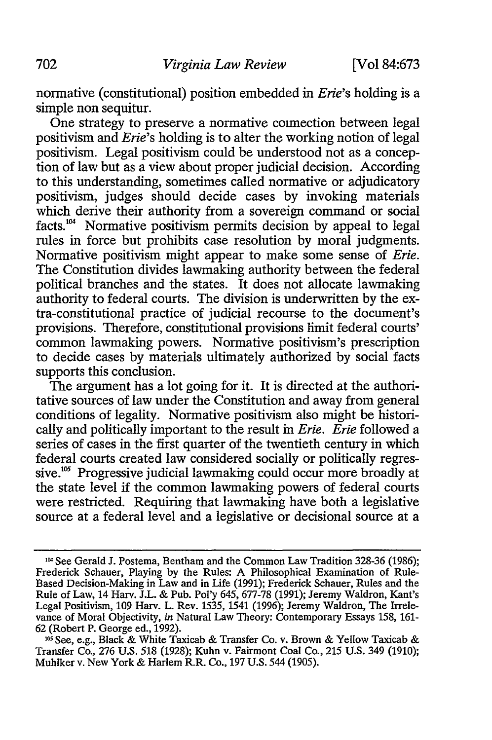normative (constitutional) position embedded in *Erie's* holding is a simple non sequitur.

One strategy to preserve a normative connection between legal positivism and *Erie's* holding is to alter the working notion of legal positivism. Legal positivism could be understood not as a conception of law but as a view about proper judicial decision. According to this understanding, sometimes called normative or adjudicatory positivism, judges should decide cases by invoking materials which derive their authority from a sovereign command or social facts. $104$  Normative positivism permits decision by appeal to legal rules in force but prohibits case resolution by moral judgments. Normative positivism might appear to make some sense of *Erie.* The Constitution divides lawmaking authority between the federal political branches and the states. It does not allocate lawmaking authority to federal courts. The division is underwritten by the extra-constitutional practice of judicial recourse to the document's provisions. Therefore, constitutional provisions limit federal courts' common lawmaking powers. Normative positivism's prescription to decide cases by materials ultimately authorized by social facts supports this conclusion.

The argument has a lot going for it. It is directed at the authoritative sources of law under the Constitution and away from general conditions of legality. Normative positivism also might be historically and politically important to the result in *Erie. Erie* followed a series of cases in the first quarter of the twentieth century in which federal courts created law considered socially or politically regressive.<sup>105</sup> Progressive judicial lawmaking could occur more broadly at the state level if the common lawmaking powers of federal courts were restricted. Requiring that lawmaking have both a legislative source at a federal level and a legislative or decisional source at a

**<sup>104</sup>**See Gerald J. Postema, Bentham and the Common Law Tradition 328-36 (1986); Frederick Schauer, Playing by the Rules: A Philosophical Examination of Rule-Based Decision-Making in Law and in Life (1991); Frederick Schauer, Rules and the Rule of Law, 14 Harv. J.L. & Pub. Pol'y 645, 677-78 (1991); Jeremy Waldron, Kant's Legal Positivism, 109 Harv. L. Rev. 1535, 1541 (1996); Jeremy Waldron, The Irrelevance of Moral Objectivity, *in* Natural Law Theory: Contemporary Essays 158, 161- 62 (Robert P. George ed., 1992).

**<sup>1</sup> 0 ,** See, e.g., Black & White Taxicab & Transfer Co. v. Brown & Yellow Taxicab & Transfer Co., 276 U.S. 518 (1928); Kuhn v. Fairmont Coal Co., 215 U.S. 349 (1910); Muhlker v. New York & Harlem R.R. Co., 197 U.S. 544 (1905).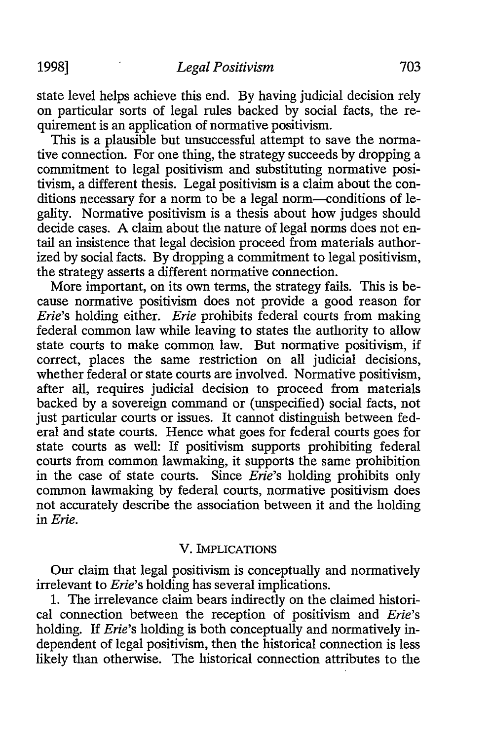state level helps achieve this end. By having judicial decision rely on particular sorts of legal rules backed by social facts, the requirement is an application of normative positivism.

This is a plausible but unsuccessful attempt to save the normative connection. For one thing, the strategy succeeds by dropping a commitment to legal positivism and substituting normative positivism, a different thesis. Legal positivism is a claim about the conditions necessary for a norm to be a legal norm-conditions of legality. Normative positivism is a thesis about how judges should decide cases. A claim about the nature of legal norms does not entail an insistence that legal decision proceed from materials authorized by social facts. By dropping a commitment to legal positivism, the strategy asserts a different normative connection.

More important, on its own terms, the strategy fails. This is because normative positivism does not provide a good reason for *Erie's* holding either. *Erie* prohibits federal courts from making federal common law while leaving to states the authority to allow state courts to make common law. But normative positivism, if correct, places the same restriction on all judicial decisions, whether federal or state courts are involved. Normative positivism, after all, requires judicial decision to proceed from materials backed by a sovereign command or (unspecified) social facts, not just particular courts or issues. It cannot distinguish between federal and state courts. Hence what goes for federal courts goes for state courts as well: If positivism supports prohibiting federal courts from common lawmaking, it supports the same prohibition in the case of state courts. Since *Erie's* holding prohibits only common lawmaking by federal courts, normative positivism does not accurately describe the association between it and the holding in *Erie.*

## V. IMPLICATIONS

Our claim that legal positivism is conceptually and normatively irrelevant to *Erie's* holding has several implications.

1. The irrelevance claim bears indirectly on the claimed historical connection between the reception of positivism and *Erie's* holding. If *Erie's* holding is both conceptually and normatively independent of legal positivism, then the historical connection is less likely than otherwise. The historical connection attributes to the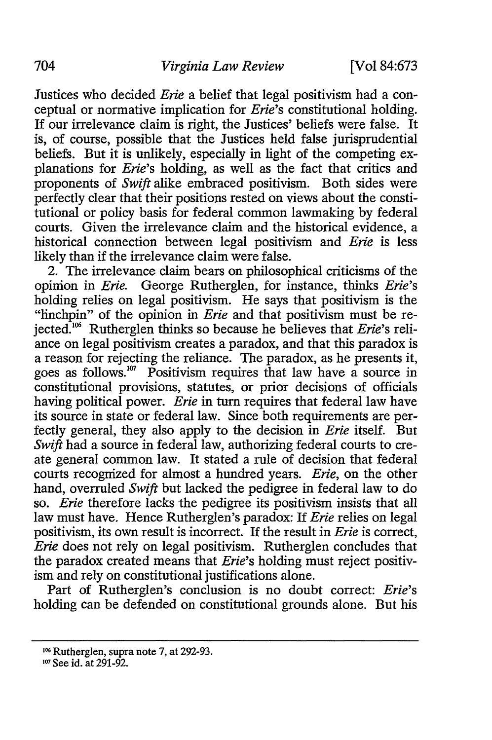Justices who decided *Erie* a belief that legal positivism had a conceptual or normative implication for *Erie's* constitutional holding. If our irrelevance claim is right, the Justices' beliefs were false. It is, of course, possible that the Justices held false jurisprudential beliefs. But it is unlikely, especially in light of the competing explanations for *Erie's* holding, as well as the fact that critics and proponents of *Swift* alike embraced positivism. Both sides were perfectly clear that their positions rested on views about the constitutional or policy basis for federal common lawmaking by federal courts. Given the irrelevance claim and the historical evidence, a historical connection between legal positivism and *Erie* is less likely than if the irrelevance claim were false.

2. The irrelevance claim bears on philosophical criticisms of the opinion in *Erie.* George Rutherglen, for instance, thinks *Erie's* holding relies on legal positivism. He says that positivism is the "linchpin" of the opinion in *Erie* and that positivism must be rejected."° Rutherglen thinks so because he believes that *Erie's* reliance on legal positivism creates a paradox, and that this paradox is a reason for rejecting the reliance. The paradox, as he presents it, goes as follows."° Positivism requires that law have a source in constitutional provisions, statutes, or prior decisions of officials having political power. *Erie* in turn requires that federal law have its source in state or federal law. Since both requirements are perfectly general, they also apply to the decision in *Erie* itself. But *Swift* had a source in federal law, authorizing federal courts to create general common law. It stated a rule of decision that federal courts recognized for almost a hundred years. *Erie,* on the other hand, overruled *Swift* but lacked the pedigree in federal law to do so. *Erie* therefore lacks the pedigree its positivism insists that all law must have. Hence Rutherglen's paradox: If *Erie* relies on legal positivism, its own result is incorrect. If the result in *Erie* is correct, *Erie* does not rely on legal positivism. Rutherglen concludes that the paradox created means that *Erie's* holding must reject positivism and rely on constitutional justifications alone.

Part of Rutherglen's conclusion is no doubt correct: *Erie's* holding can be defended on constitutional grounds alone. But his

**<sup>,16</sup>** Rutherglen, supra note 7, at 292-93.

**<sup>107</sup>**See id. at 291-92.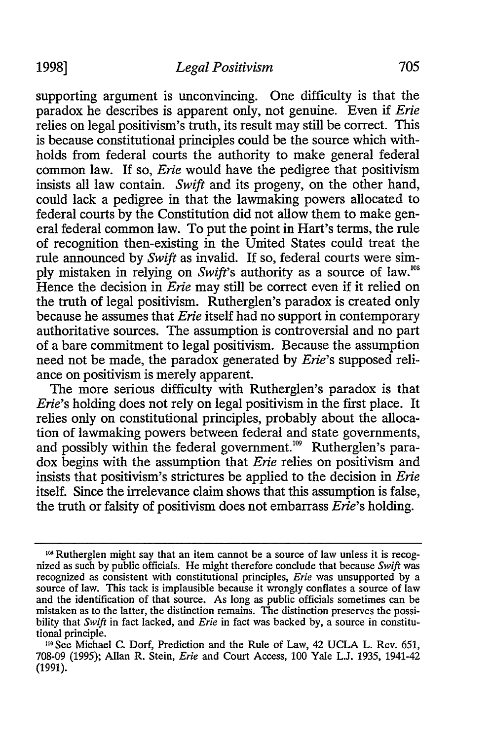supporting argument is unconvincing. One difficulty is that the paradox he describes is apparent only, not genuine. Even if *Erie* relies on legal positivism's truth, its result may still be correct. This is because constitutional principles could be the source which withholds from federal courts the authority to make general federal common law. If so, *Erie* would have the pedigree that positivism insists all law contain. *Swift* and its progeny, on the other hand, could lack a pedigree in that the lawmaking powers allocated to federal courts by the Constitution did not allow them to make general federal common law. To put the point in Hart's terms, the rule of recognition then-existing in the United States could treat the rule announced by *Swift* as invalid. If so, federal courts were simply mistaken in relying on *Swift's* authority as a source of law.<sup>108</sup> Hence the decision in *Erie* may still be correct even if it relied on the truth of legal positivism. Rutherglen's paradox is created only because he assumes that *Erie* itself had no support in contemporary authoritative sources. The assumption is controversial and no part of a bare commitment to legal positivism. Because the assumption need not be made, the paradox generated by *Erie's* supposed reliance on positivism is merely apparent.

The more serious difficulty with Rutherglen's paradox is that *Erie's* holding does not rely on legal positivism in the first place. It relies only on constitutional principles, probably about the allocation of lawmaking powers between federal and state governments, and possibly within the federal government.<sup>109</sup> Rutherglen's paradox begins with the assumption that *Erie* relies on positivism and insists that positivism's strictures be applied to the decision in *Erie* itself. Since the irrelevance claim shows that this assumption is false, the truth or falsity of positivism does not embarrass *Erie's* holding.

<sup>&</sup>lt;sup>108</sup> Rutherglen might say that an item cannot be a source of law unless it is recognized as such by public officials. He might therefore conclude that because *Swift* was source of law. This tack is implausible because it wrongly conflates a source of law and the identification of that source. As long as public officials sometimes can be mistaken as to the latter, the distinction remains. The distinction preserves the possibility that *Swift* in fact lacked, and *Erie* in fact was backed by, a source in constitutional principle.

**<sup>119</sup>** See Michael C. Doff, Prediction and the Rule of Law, 42 UCLA L. Rev. 651, 708-09 (1995); Allan R. Stein, *Erie* and Court Access, 100 Yale **LJ.** 1935, 1941-42 (1991).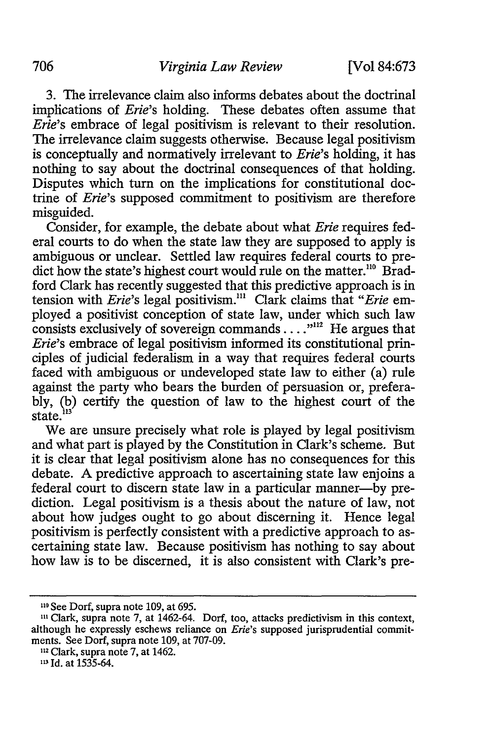3. The irrelevance claim also informs debates about the doctrinal implications of *Erie's* holding. These debates often assume that *Erie's* embrace of legal positivism is relevant to their resolution. The irrelevance claim suggests otherwise. Because legal positivism is conceptually and normatively irrelevant to *Erie's* holding, it has nothing to say about the doctrinal consequences of that holding. Disputes which turn on the implications for constitutional doctrine of *Erie's* supposed commitment to positivism are therefore misguided.

Consider, for example, the debate about what *Erie* requires federal courts to do when the state law they are supposed to apply is ambiguous or unclear. Settled law requires federal courts to predict how the state's highest court would rule on the matter.<sup>110</sup> Bradford Clark has recently suggested that this predictive approach is in tension with *Erie's* legal positivism."' Clark claims that *"Erie* employed a positivist conception of state law, under which such law consists exclusively of sovereign commands....<sup>"112</sup> He argues that *Erie's* embrace of legal positivism informed its constitutional principles of judicial federalism in a way that requires federal courts faced with ambiguous or undeveloped state law to either (a) rule against the party who bears the burden of persuasion or, preferably, (b) certify the question of law to the highest court of the state.

We are unsure precisely what role is played by legal positivism and what part is played by the Constitution in Clark's scheme. But it is clear that legal positivism alone has no consequences for this debate. A predictive approach to ascertaining state law enjoins a federal court to discern state law in a particular manner-by prediction. Legal positivism is a thesis about the nature of law, not about how judges ought to go about discerning it. Hence legal positivism is perfectly consistent with a predictive approach to ascertaining state law. Because positivism has nothing to say about how law is to be discerned, it is also consistent with Clark's pre-

**<sup>1,0</sup>** See Dorf, supra note 109, at 695.

<sup>&</sup>lt;sup>111</sup> Clark, supra note 7, at 1462-64. Dorf, too, attacks predictivism in this context, although he expressly eschews reliance on *Erie's* supposed jurisprudential commitments. See Dorf, supra note 109, at 707-09.

**M** Clark, supra note 7, at 1462.

**<sup>113</sup>** Id. at 1535-64.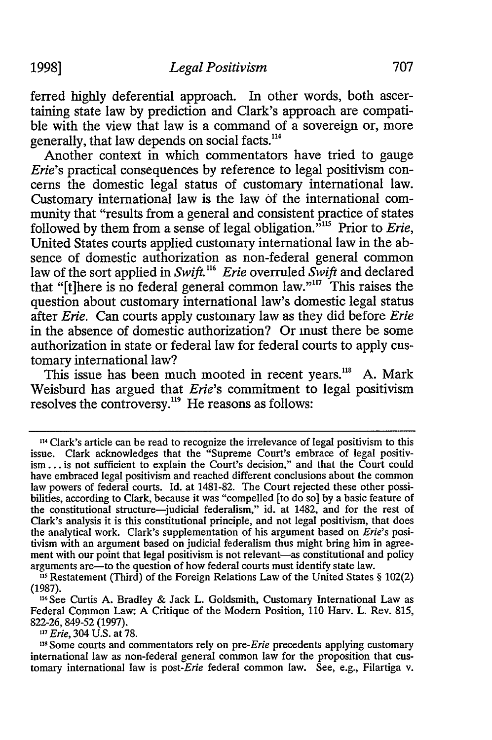ferred highly deferential approach. In other words, both ascertaining state law by prediction and Clark's approach are compatible with the view that law is a command of a sovereign or, more generally, that law depends on social facts.114

Another context in which commentators have tried to gauge *Erie's* practical consequences by reference to legal positivism concerns the domestic legal status of customary international law. Customary international law is the law of the international community that "results from a general and consistent practice of states followed by them from a sense of legal obligation."1'15 Prior to *Erie,* United States courts applied customary international law in the absence of domestic authorization as non-federal general common law of the sort applied in *Swift."6 Erie* overruled *Swift* and declared that " $[t]$ here is no federal general common law."<sup>117</sup> This raises the question about customary international law's domestic legal status after *Erie.* Can courts apply customary law as they did before *Erie* in the absence of domestic authorization? Or must there be some authorization in state or federal law for federal courts to apply customary international law?

This issue has been much mooted in recent years."8 A. Mark Weisburd has argued that *Erie's* commitment to legal positivism resolves the controversy.<sup>119</sup> He reasons as follows:

*- Erie,* 304 U.S. at 78.

**"s** Some courts and commentators rely on *pre-Erie* precedents applying customary international law as non-federal general common law for the proposition that customary international law is post-Erie federal common law. See, e.g., Filartiga v.

<sup>1&</sup>quot; Clark's article can be read to recognize the irrelevance of legal positivism to this issue. Clark acknowledges that the "Supreme Court's embrace of legal positivism.., is not sufficient to explain the Court's decision," and that the Court could have embraced legal positivism and reached different conclusions about the common law powers of federal courts. Id. at 1481-82. The Court rejected these other possibilities, according to Clark, because it was "compelled [to do so] by a basic feature of the constitutional structure-judicial federalism," id. at 1482, and for the rest of Clark's analysis it is this constitutional principle, and not legal positivism, that does the analytical work. Clark's supplementation of his argument based on *Erie's* positivism with an argument based on judicial federalism thus might bring him in agreement with our point that legal positivism is not relevant—as constitutional and policy arguments are—to the question of how federal courts must identify state law.

**<sup>1,5</sup>** Restatement (Third) of the Foreign Relations Law of the United States § 102(2) (1987).

 $116$  See Curtis A. Bradley & Jack L. Goldsmith, Customary International Law as Federal Common Law: **A** Critique of the Modem Position, **110** Harv. L. Rev. 815, 822-26, 849-52 (1997).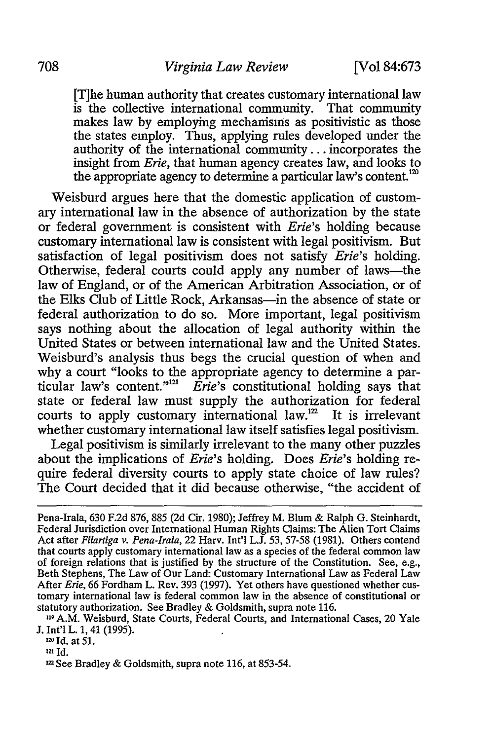[T]he human authority that creates customary international law is the collective international community. That community makes law by employing mechanisms as positivistic as those the states employ. Thus, applying rules developed under the authority of the international community... incorporates the insight from *Erie,* that human agency creates law, and looks to the appropriate agency to determine a particular law's content.<sup>120</sup>

Weisburd argues here that the domestic application of customary international law in the absence of authorization by the state or federal government is consistent with *Erie's* holding because customary international law is consistent with legal positivism. But satisfaction of legal positivism does not satisfy *Erie's* holding. Otherwise, federal courts could apply any number of laws-the law of England, or of the American Arbitration Association, or of the Elks Club of Little Rock, Arkansas-in the absence of state or federal authorization to do so. More important, legal positivism says nothing about the allocation of legal authority within the United States or between international law and the United States. Weisburd's analysis thus begs the crucial question of when and why a court "looks to the appropriate agency to determine a particular law's content. 12' *Erie's* constitutional holding says that state or federal law must supply the authorization for federal courts to apply customary international law. $^{122}$  It is irrelevant whether customary international law itself satisfies legal positivism.

Legal positivism is similarly irrelevant to the many other puzzles about the implications of *Erie's* holding. Does *Erie's* holding require federal diversity courts to apply state choice of law rules? The Court decided that it did because otherwise, "the accident of

**<sup>120</sup>**Id. at 51.

**<sup>121</sup>**Id.

Pena-Irala, 630 F.2d 876, 885 (2d Cir. 1980); Jeffrey M. Blum & Ralph G. Steinhardt, Federal Jurisdiction over International Human Rights Claims: The Alien Tort Claims Act after *Filartiga v. Pena-Irala,* 22 Harv. Int'l Li. 53, 57-58 (1981). Others contend that courts apply customary international law as a species of the federal common law of foreign relations that is justified by the structure of the Constitution. See, e.g., Beth Stephens, The Law of Our Land: Customary International Law as Federal Law After *Erie,* 66 Fordham L. Rev. 393 (1997). Yet others have questioned whether customary international law is federal common law in the absence of constitutional or statutory authorization. See Bradley & Goldsmith, supra note 116.

**<sup>119</sup>** A.M. Weisburd, State Courts, Federal Courts, and International Cases, 20 Yale J. Int'l L. 1, 41 (1995).

**<sup>122</sup>** See Bradley & Goldsmith, supra note 116, at 853-54.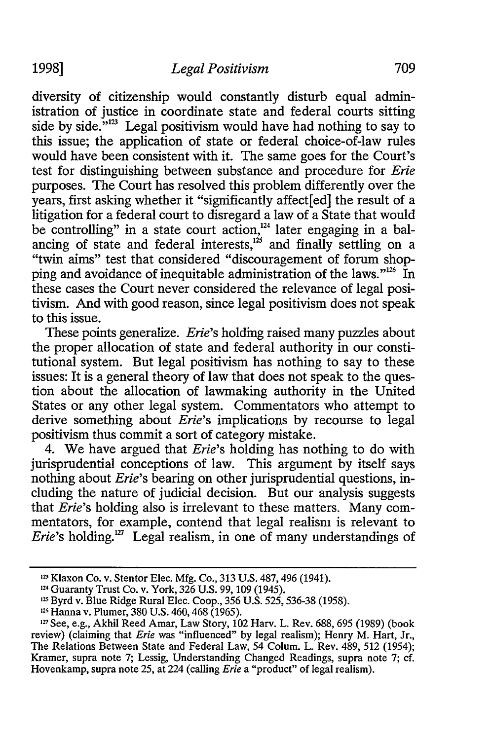diversity of citizenship would constantly disturb equal administration of justice in coordinate state and federal courts sitting side by side. $v^{12}$  Legal positivism would have had nothing to say to this issue; the application of state or federal choice-of-law rules would have been consistent with it. The same goes for the Court's test for distinguishing between substance and procedure for *Erie* purposes. The Court has resolved this problem differently over the years, first asking whether it "significantly affect[ed] the result of a litigation for a federal court to disregard a law of a State that would be controlling" in a state court action,<sup>124</sup> later engaging in a balancing of state and federal interests, $125$  and finally settling on a "twin aims" test that considered "discouragement of forum shopping and avoidance of inequitable administration of the laws."<sup>126</sup> In these cases the Court never considered the relevance of legal positivism. And with good reason, since legal positivism does not speak to this issue.

These points generalize. *Erie's* holding raised many puzzles about the proper allocation of state and federal authority in our constitutional system. But legal positivism has nothing to say to these issues: It is a general theory of law that does not speak to the question about the allocation of lawmaking authority in the United States or any other legal system. Commentators who attempt to derive something about *Erie's* implications by recourse to legal positivism thus commit a sort of category mistake.

4. We have argued that *Erie's* holding has nothing to do with jurisprudential conceptions of law. This argument by itself says nothing about *Erie's* bearing on other jurisprudential questions, including the nature of judicial decision. But our analysis suggests that *Erie's* holding also is irrelevant to these matters. Many commentators, for example, contend that legal realism is relevant to *Erie's* holding." Legal realism, in one of many understandings of

<sup>&</sup>lt;sup>12</sup> Klaxon Co. v. Stentor Elec. Mfg. Co., 313 U.S. 487, 496 (1941).

**<sup>14</sup>**Guaranty Trust Co. v. York, 326 U.S. 99, 109 (1945).

**<sup>15</sup>**Byrd v. Blue Ridge Rural Elec. Coop., 356 U.S. 525,536-38 (1958). **"6** Hanna v. Plumer, 380 U.S. 460,468 (1965).

**<sup>127</sup>**See, e.g., Akhil Reed Amar, Law Story, 102 Harv. L. Rev. 688, 695 (1989) (book review) (claiming that *Erie* was "influenced" by legal realism); Henry M. Hart, Jr., The Relations Between State and Federal Law, 54 Colum. L. Rev. 489, 512 (1954); Kramer, supra note 7; Lessig, Understanding Changed Readings, supra note 7; cf. Hovenkamp, supra note 25, at 224 (calling *Erie* a "product" of legal realism).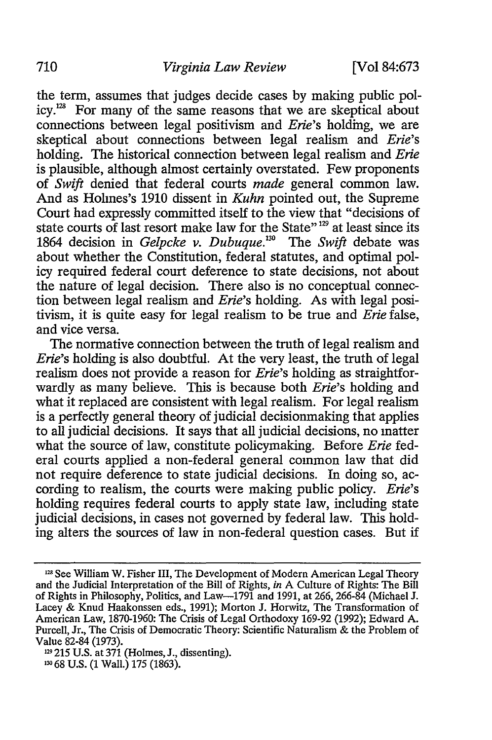the term, assumes that judges decide cases by making public policy." For many of the same reasons that we are skeptical about connections between legal positivism and *Erie's* holding, we are skeptical about connections between legal realism and *Erie's* holding. The historical connection between legal realism and *Erie* is plausible, although almost certainly overstated. Few proponents of *Swift* denied that federal courts *made* general common law. And as Holmes's 1910 dissent in *Kuhn* pointed out, the Supreme Court had expressly committed itself to the view that "decisions of state courts of last resort make law for the State"<sup>129</sup> at least since its 1864 decision in *Gelpcke v. Dubuque.30 The Swift* debate was about whether the Constitution, federal statutes, and optimal policy required federal court deference to state decisions, not about the nature of legal decision. There also is no conceptual connection between legal realism and *Erie's* holding. As with legal positivism, it is quite easy for legal realism to be true and *Erie* false, and vice versa.

The normative connection between the truth of legal realism and *Erie's* holding is also doubtful. At the very least, the truth of legal realism does not provide a reason for *Erie's* holding as straightforwardly as many believe. This is because both *Erie's* holding and what it replaced are consistent with legal realism. For legal realism is a perfectly general theory of judicial decisionmaking that applies to all judicial decisions. It says that all judicial decisions, no matter what the source of law, constitute policymaking. Before *Erie* federal courts applied a non-federal general common law that did not require deference to state judicial decisions. In doing so, according to realism, the courts were making public policy. *Erie's* holding requires federal courts to apply state law, including state judicial decisions, in cases not governed by federal law. This holding alters the sources of law in non-federal question cases. But if

<sup>&</sup>lt;sup>128</sup> See William W. Fisher III, The Development of Modern American Legal Theory and the Judicial Interpretation of the Bill of Rights, *in* A Culture of Rights: The Bill of Rights in Philosophy, Politics, and Law-1791 and 1991, at 266, 266-84 (Michael J. Lacey & Knud Haakonssen eds., 1991); Morton J. Horwitz, The Transformation of American Law, 1870-1960: The Crisis of Legal Orthodoxy 169-92 (1992); Edward A. Purcell, Jr., The Crisis of Democratic Theory: Scientific Naturalism & the Problem of Value 82-84 (1973).

**<sup>129</sup>** 215 U.S. at 371 (Holmes, J., dissenting).

**<sup>-</sup>** 68 U.S. (1 Wall.) 175 (1863).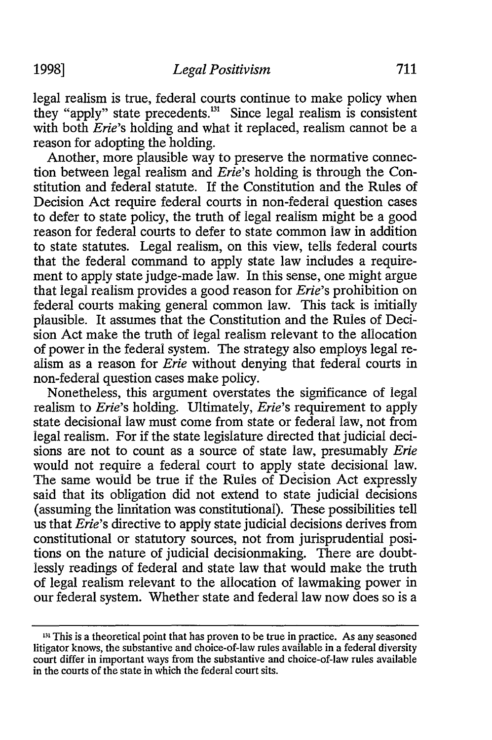legal realism is true, federal courts continue to make policy when they "apply" state precedents.<sup>131</sup> Since legal realism is consistent with both *Erie's* holding and what it replaced, realism cannot be a reason for adopting the holding.

Another, more plausible way to preserve the normative connection between legal realism and *Erie's* holding is through the Constitution and federal statute. If the Constitution and the Rules of Decision Act require federal courts in non-federal question cases to defer to state policy, the truth of legal realism might be a good reason for federal courts to defer to state common law in addition to state statutes. Legal realism, on this view, tells federal courts that the federal command to apply state law includes a requirement to apply state judge-made law. In this sense, one might argue that legal realism provides a good reason for *Erie's* prohibition on federal courts making general common law. This tack is initially plausible. It assumes that the Constitution and the Rules of Decision Act make the truth of legal realism relevant to the allocation of power in the federal system. The strategy also employs legal realism as a reason for *Erie* without denying that federal courts in non-federal question cases make policy.

Nonetheless, this argument overstates the significance of legal realism to *Erie's* holding. Ultimately, *Erie's* requirement to apply state decisional law must come from state or federal law, not from legal realism. For if the state legislature directed that judicial decisions are not to count as a source of state law, presumably *Erie* would not require a federal court to apply state decisional law. The same would be true if the Rules of Decision Act expressly said that its obligation did not extend to state judicial decisions (assuming the limitation was constitutional). These possibilities tell us that *Erie's* directive to apply state judicial decisions derives from constitutional or statutory sources, not from jurisprudential positions on the nature of judicial decisionmaking. There are doubtlessly readings of federal and state law that would make the truth of legal realism relevant to the allocation of lawmaking power in our federal system. Whether state and federal law now does so is a

<sup>&</sup>lt;sup>131</sup> This is a theoretical point that has proven to be true in practice. As any seasoned litigator knows, the substantive and choice-of-law rules available in a federal diversity court differ in important ways from the substantive and choice-of-law rules available in the courts of the state in which the federal court sits.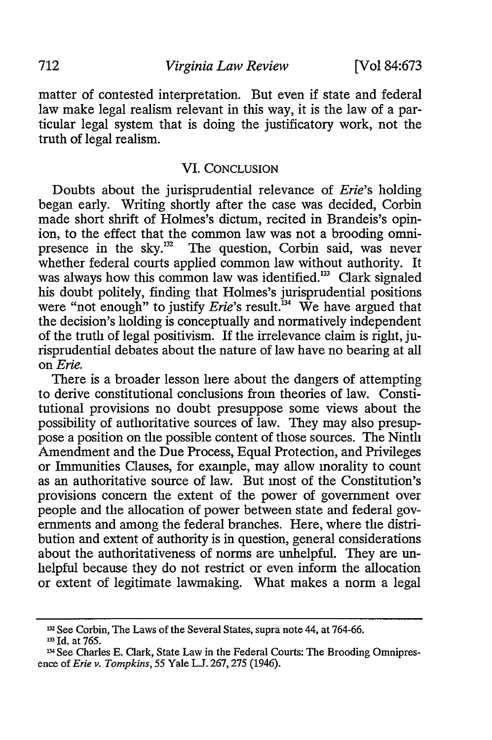matter of contested interpretation. But even if state and federal law make legal realism relevant in this way, it is the law of a particular legal system that is doing the justificatory work, not the truth of legal realism.

## VI. CONCLUSION

Doubts about the jurisprudential relevance of *Erie's* holding began early. Writing shortly after the case was decided, Corbin made short shrift of Holmes's dictum, recited in Brandeis's opinion, to the effect that the common law was not a brooding omnipresence in the sky. $132$  The question, Corbin said, was never whether federal courts applied common law without authority. It was always how this common law was identified.<sup>133</sup> Clark signaled his doubt politely, finding that Holmes's jurisprudential positions were "not enough" to justify *Erie's* result.<sup>134</sup> We have argued that the decision's holding is conceptually and normatively independent of the truth of legal positivism. If the irrelevance claim is right, jurisprudential debates about the nature of law have no bearing at all on *Erie.*

There is a broader lesson here about the dangers of attempting to derive constitutional conclusions from theories of law. Constitutional provisions no doubt presuppose some views about the possibility of authoritative sources of law. They may also presuppose a position on the possible content of those sources. The Ninth Amendment and the Due Process, Equal Protection, and Privileges or Immunities Clauses, for example, may allow morality to count as an authoritative source of law. But most of the Constitution's provisions concern the extent of the power of government over people and the allocation of power between state and federal governments and among the federal branches. Here, where the distribution and extent of authority is in question, general considerations about the authoritativeness of norms are unhelpful. They are unhelpful because they do not restrict or even inform the allocation or extent of legitimate lawmaking. What makes a norm a legal

<sup>&</sup>lt;sup>132</sup> See Corbin, The Laws of the Several States, supra note 44, at 764-66.

**<sup>133</sup>**Id. at 765.

**<sup>134</sup>** See Charles E. Clark, State Law in the Federal Courts: The Brooding Omnipresence of *Erie v. Tompkins*, 55 Yale L.J. 267, 275 (1946).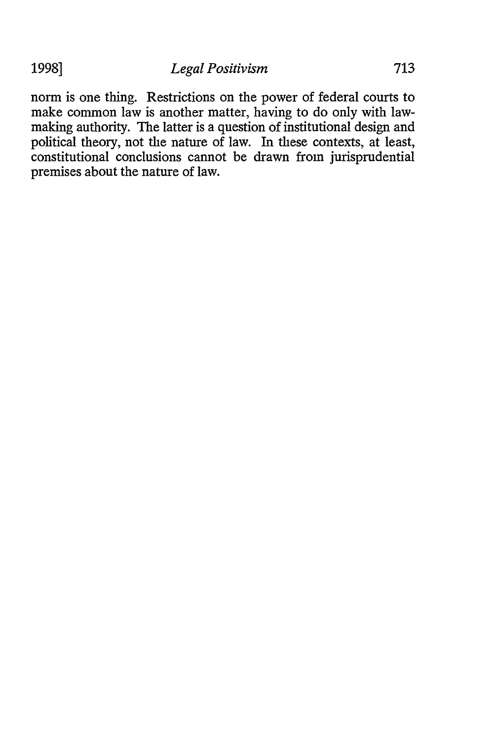norm is one thing. Restrictions on the power of federal courts to make common law is another matter, having to do only with lawmaking authority. The latter is a question of institutional design and political theory, not the nature of law. In these contexts, at least, constitutional conclusions cannot be drawn from jurisprudential premises about the nature of law.